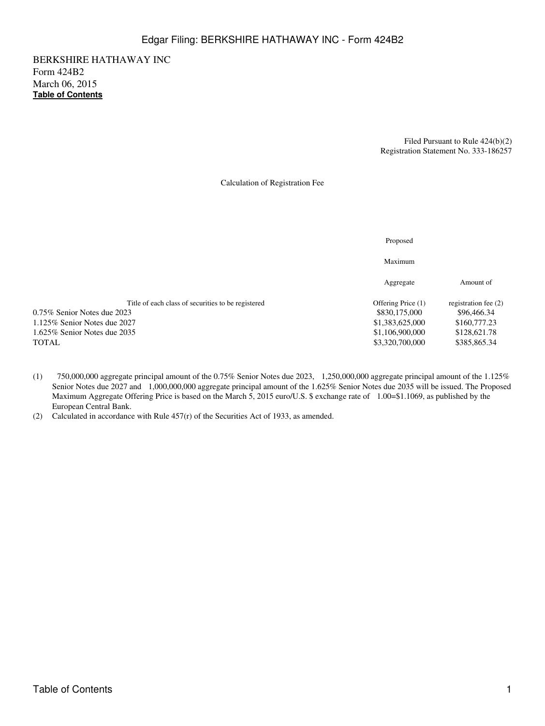BERKSHIRE HATHAWAY INC Form 424B2 March 06, 2015 **[Table of Contents](#page-3-0)**

> Filed Pursuant to Rule 424(b)(2) Registration Statement No. 333-186257

Calculation of Registration Fee

|                                                    | Proposed           |                      |
|----------------------------------------------------|--------------------|----------------------|
|                                                    | Maximum            |                      |
|                                                    | Aggregate          | Amount of            |
| Title of each class of securities to be registered | Offering Price (1) | registration fee (2) |
| 0.75% Senior Notes due 2023                        | \$830,175,000      | \$96,466.34          |
| $1.125\%$ Senior Notes due 2027                    | \$1,383,625,000    | \$160,777.23         |
| 1.625% Senior Notes due 2035                       | \$1,106,900,000    | \$128,621.78         |
| TOTAL                                              | \$3,320,700,000    | \$385,865.34         |
|                                                    |                    |                      |

- (1) 750,000,000 aggregate principal amount of the 0.75% Senior Notes due 2023, 1,250,000,000 aggregate principal amount of the 1.125% Senior Notes due 2027 and 1,000,000,000 aggregate principal amount of the 1.625% Senior Notes due 2035 will be issued. The Proposed Maximum Aggregate Offering Price is based on the March 5, 2015 euro/U.S. \$ exchange rate of 1.00=\$1.1069, as published by the European Central Bank.
- (2) Calculated in accordance with Rule 457(r) of the Securities Act of 1933, as amended.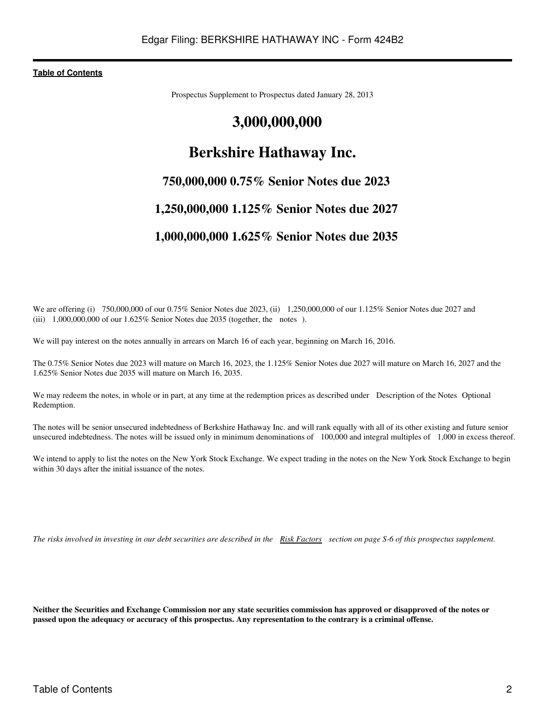Prospectus Supplement to Prospectus dated January 28, 2013

# **3,000,000,000**

# **Berkshire Hathaway Inc.**

# **750,000,000 0.75% Senior Notes due 2023**

# **1,250,000,000 1.125% Senior Notes due 2027**

# **1,000,000,000 1.625% Senior Notes due 2035**

We are offering (i) 750,000,000 of our 0.75% Senior Notes due 2023, (ii) 1,250,000,000 of our 1.125% Senior Notes due 2027 and (iii) 1,000,000,000 of our 1.625% Senior Notes due 2035 (together, the notes).

We will pay interest on the notes annually in arrears on March 16 of each year, beginning on March 16, 2016.

The 0.75% Senior Notes due 2023 will mature on March 16, 2023, the 1.125% Senior Notes due 2027 will mature on March 16, 2027 and the 1.625% Senior Notes due 2035 will mature on March 16, 2035.

We may redeem the notes, in whole or in part, at any time at the redemption prices as described under Description of the Notes Optional Redemption.

The notes will be senior unsecured indebtedness of Berkshire Hathaway Inc. and will rank equally with all of its other existing and future senior unsecured indebtedness. The notes will be issued only in minimum denominations of 100,000 and integral multiples of 1,000 in excess thereof.

We intend to apply to list the notes on the New York Stock Exchange. We expect trading in the notes on the New York Stock Exchange to begin within 30 days after the initial issuance of the notes.

*The risks involved in investing in our debt securities are described in the [Risk Factors](#page-13-0) section on page S-6 of this prospectus supplement.*

**Neither the Securities and Exchange Commission nor any state securities commission has approved or disapproved of the notes or passed upon the adequacy or accuracy of this prospectus. Any representation to the contrary is a criminal offense.**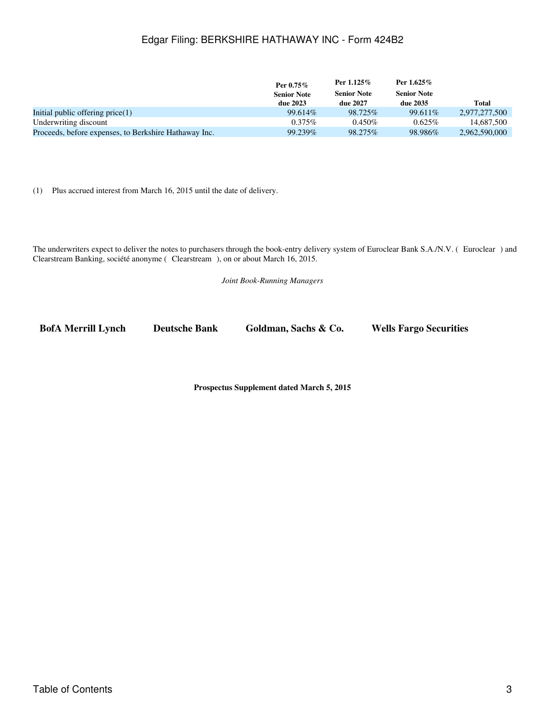# Edgar Filing: BERKSHIRE HATHAWAY INC - Form 424B2

|                                                       | Per $0.75\%$       | Per $1.125\%$      | Per $1.625\%$      |               |
|-------------------------------------------------------|--------------------|--------------------|--------------------|---------------|
|                                                       | <b>Senior Note</b> | <b>Senior Note</b> | <b>Senior Note</b> |               |
|                                                       | due 2023           | due 2027           | due 2035           | Total         |
| Initial public offering $price(1)$                    | 99.614%            | 98.725\%           | 99.611\%           | 2.977.277.500 |
| Underwriting discount                                 | $0.375\%$          | $0.450\%$          | $0.625\%$          | 14,687,500    |
| Proceeds, before expenses, to Berkshire Hathaway Inc. | 99.239%            | 98.275\%           | 98.986%            | 2,962,590,000 |

(1) Plus accrued interest from March 16, 2015 until the date of delivery.

The underwriters expect to deliver the notes to purchasers through the book-entry delivery system of Euroclear Bank S.A./N.V. (Euroclear) and Clearstream Banking, société anonyme (Clearstream), on or about March 16, 2015.

*Joint Book-Running Managers*

**BofA Merrill Lynch Deutsche Bank Goldman, Sachs & Co. Wells Fargo Securities**

**Prospectus Supplement dated March 5, 2015**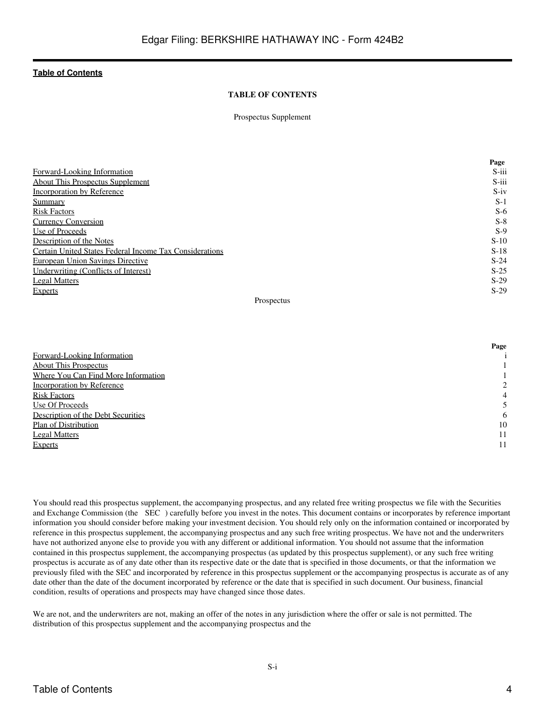### **TABLE OF CONTENTS**

Prospectus Supplement

<span id="page-3-0"></span>

|                                                         | Page     |
|---------------------------------------------------------|----------|
| Forward-Looking Information                             | $S$ -iii |
| About This Prospectus Supplement                        | S-iii    |
| Incorporation by Reference                              | $S-iv$   |
| Summary                                                 | $S-1$    |
| <b>Risk Factors</b>                                     | $S-6$    |
| <b>Currency Conversion</b>                              | $S-8$    |
| Use of Proceeds                                         | $S-9$    |
| Description of the Notes                                | $S-10$   |
| Certain United States Federal Income Tax Considerations | $S-18$   |
| <b>European Union Savings Directive</b>                 | $S-24$   |
| Underwriting (Conflicts of Interest)                    | $S-25$   |
| <b>Legal Matters</b>                                    | $S-29$   |
| Experts                                                 | $S-29$   |

#### Prospectus

|                                     | Page |
|-------------------------------------|------|
| Forward-Looking Information         |      |
| <b>About This Prospectus</b>        |      |
| Where You Can Find More Information |      |
| Incorporation by Reference          | 2    |
| <b>Risk Factors</b>                 | 4    |
| Use Of Proceeds                     |      |
| Description of the Debt Securities  | 6    |
| Plan of Distribution                | 10   |
| <b>Legal Matters</b>                | 11   |
| <b>Experts</b>                      |      |

You should read this prospectus supplement, the accompanying prospectus, and any related free writing prospectus we file with the Securities and Exchange Commission (the SEC) carefully before you invest in the notes. This document contains or incorporates by reference important information you should consider before making your investment decision. You should rely only on the information contained or incorporated by reference in this prospectus supplement, the accompanying prospectus and any such free writing prospectus. We have not and the underwriters have not authorized anyone else to provide you with any different or additional information. You should not assume that the information contained in this prospectus supplement, the accompanying prospectus (as updated by this prospectus supplement), or any such free writing prospectus is accurate as of any date other than its respective date or the date that is specified in those documents, or that the information we previously filed with the SEC and incorporated by reference in this prospectus supplement or the accompanying prospectus is accurate as of any date other than the date of the document incorporated by reference or the date that is specified in such document. Our business, financial condition, results of operations and prospects may have changed since those dates.

We are not, and the underwriters are not, making an offer of the notes in any jurisdiction where the offer or sale is not permitted. The distribution of this prospectus supplement and the accompanying prospectus and the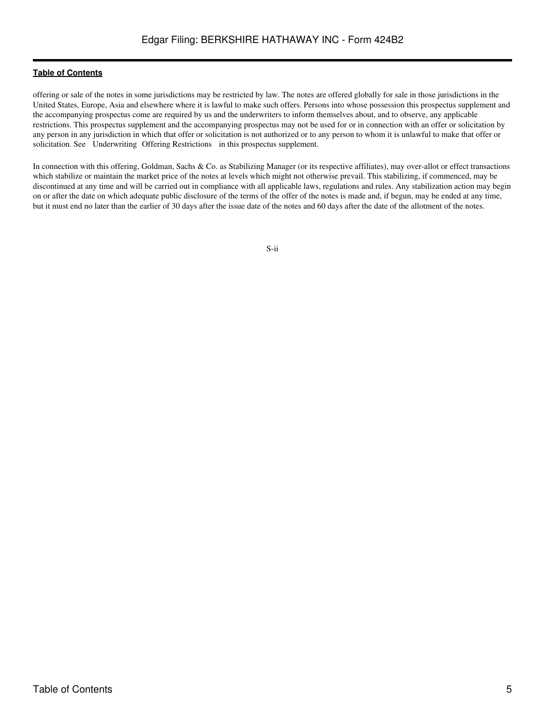offering or sale of the notes in some jurisdictions may be restricted by law. The notes are offered globally for sale in those jurisdictions in the United States, Europe, Asia and elsewhere where it is lawful to make such offers. Persons into whose possession this prospectus supplement and the accompanying prospectus come are required by us and the underwriters to inform themselves about, and to observe, any applicable restrictions. This prospectus supplement and the accompanying prospectus may not be used for or in connection with an offer or solicitation by any person in any jurisdiction in which that offer or solicitation is not authorized or to any person to whom it is unlawful to make that offer or solicitation. See Underwriting Offering Restrictions in this prospectus supplement.

In connection with this offering, Goldman, Sachs & Co. as Stabilizing Manager (or its respective affiliates), may over-allot or effect transactions which stabilize or maintain the market price of the notes at levels which might not otherwise prevail. This stabilizing, if commenced, may be discontinued at any time and will be carried out in compliance with all applicable laws, regulations and rules. Any stabilization action may begin on or after the date on which adequate public disclosure of the terms of the offer of the notes is made and, if begun, may be ended at any time, but it must end no later than the earlier of 30 days after the issue date of the notes and 60 days after the date of the allotment of the notes.

S-ii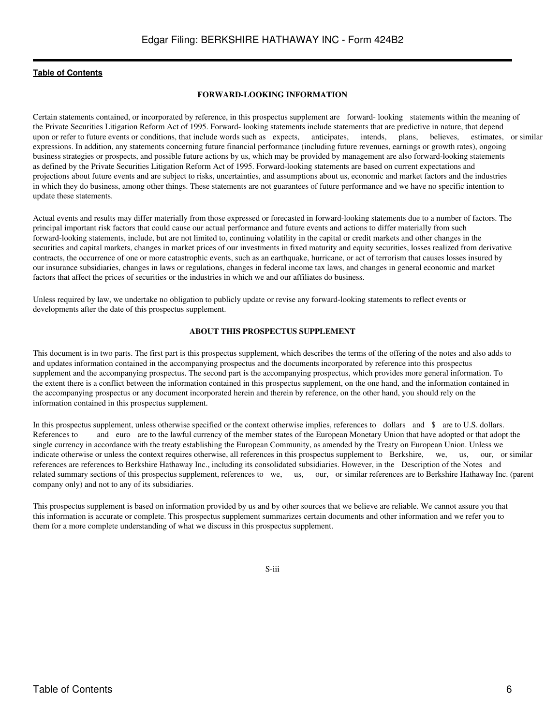#### **FORWARD-LOOKING INFORMATION**

<span id="page-5-0"></span>Certain statements contained, or incorporated by reference, in this prospectus supplement are forward- looking statements within the meaning of the Private Securities Litigation Reform Act of 1995. Forward- looking statements include statements that are predictive in nature, that depend<br>upon or refer to future events or conditions, that include words such as expec upon or refer to future events or conditions, that include words such as expects, anticipates, intends, plans, believes, estimates, or similar expressions. In addition, any statements concerning future financial performance (including future revenues, earnings or growth rates), ongoing business strategies or prospects, and possible future actions by us, which may be provided by management are also forward-looking statements as defined by the Private Securities Litigation Reform Act of 1995. Forward-looking statements are based on current expectations and projections about future events and are subject to risks, uncertainties, and assumptions about us, economic and market factors and the industries in which they do business, among other things. These statements are not guarantees of future performance and we have no specific intention to update these statements.

Actual events and results may differ materially from those expressed or forecasted in forward-looking statements due to a number of factors. The principal important risk factors that could cause our actual performance and future events and actions to differ materially from such forward-looking statements, include, but are not limited to, continuing volatility in the capital or credit markets and other changes in the securities and capital markets, changes in market prices of our investments in fixed maturity and equity securities, losses realized from derivative contracts, the occurrence of one or more catastrophic events, such as an earthquake, hurricane, or act of terrorism that causes losses insured by our insurance subsidiaries, changes in laws or regulations, changes in federal income tax laws, and changes in general economic and market factors that affect the prices of securities or the industries in which we and our affiliates do business.

Unless required by law, we undertake no obligation to publicly update or revise any forward-looking statements to reflect events or developments after the date of this prospectus supplement.

#### **ABOUT THIS PROSPECTUS SUPPLEMENT**

<span id="page-5-1"></span>This document is in two parts. The first part is this prospectus supplement, which describes the terms of the offering of the notes and also adds to and updates information contained in the accompanying prospectus and the documents incorporated by reference into this prospectus supplement and the accompanying prospectus. The second part is the accompanying prospectus, which provides more general information. To the extent there is a conflict between the information contained in this prospectus supplement, on the one hand, and the information contained in the accompanying prospectus or any document incorporated herein and therein by reference, on the other hand, you should rely on the information contained in this prospectus supplement.

In this prospectus supplement, unless otherwise specified or the context otherwise implies, references to dollars and \$ are to U.S. dollars. References to and euro are to the lawful currency of the member states of the European Monetary Union that have adopted or that adopt the single currency in accordance with the treaty establishing the European Community, as amended by the Treaty on European Union. Unless we indicate otherwise or unless the context requires otherwise, all references in this prospectus supplement to Berkshire, we, us, our, or similar references are references to Berkshire Hathaway Inc., including its consolidated subsidiaries. However, in the Description of the Notes and related summary sections of this prospectus supplement, references to we, us, our, or similar references are to Berkshire Hathaway Inc. (parent company only) and not to any of its subsidiaries.

This prospectus supplement is based on information provided by us and by other sources that we believe are reliable. We cannot assure you that this information is accurate or complete. This prospectus supplement summarizes certain documents and other information and we refer you to them for a more complete understanding of what we discuss in this prospectus supplement.

S-iii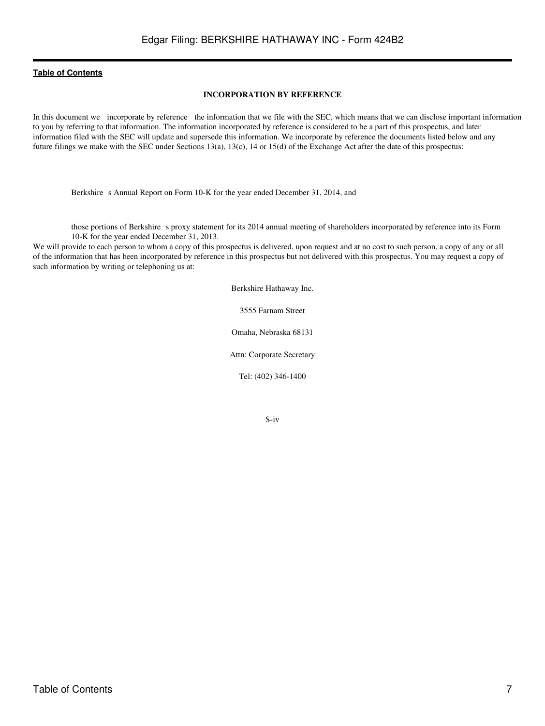#### **INCORPORATION BY REFERENCE**

<span id="page-6-0"></span>In this document we incorporate by reference the information that we file with the SEC, which means that we can disclose important information to you by referring to that information. The information incorporated by reference is considered to be a part of this prospectus, and later information filed with the SEC will update and supersede this information. We incorporate by reference the documents listed below and any future filings we make with the SEC under Sections 13(a), 13(c), 14 or 15(d) of the Exchange Act after the date of this prospectus:

Berkshire s Annual Report on Form 10-K for the year ended December 31, 2014, and

those portions of Berkshire s proxy statement for its 2014 annual meeting of shareholders incorporated by reference into its Form 10-K for the year ended December 31, 2013.

We will provide to each person to whom a copy of this prospectus is delivered, upon request and at no cost to such person, a copy of any or all of the information that has been incorporated by reference in this prospectus but not delivered with this prospectus. You may request a copy of such information by writing or telephoning us at:

Berkshire Hathaway Inc.

3555 Farnam Street

Omaha, Nebraska 68131

Attn: Corporate Secretary

Tel: (402) 346-1400

S-iv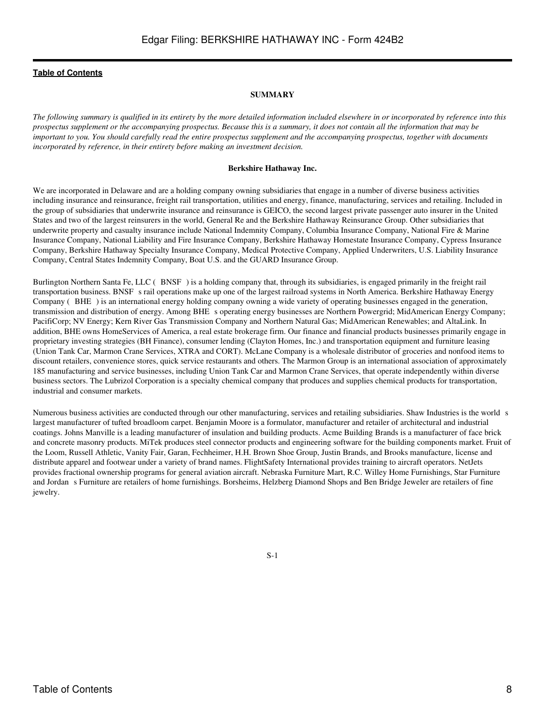#### **SUMMARY**

<span id="page-7-0"></span>*The following summary is qualified in its entirety by the more detailed information included elsewhere in or incorporated by reference into this prospectus supplement or the accompanying prospectus. Because this is a summary, it does not contain all the information that may be important to you. You should carefully read the entire prospectus supplement and the accompanying prospectus, together with documents incorporated by reference, in their entirety before making an investment decision.*

#### **Berkshire Hathaway Inc.**

We are incorporated in Delaware and are a holding company owning subsidiaries that engage in a number of diverse business activities including insurance and reinsurance, freight rail transportation, utilities and energy, finance, manufacturing, services and retailing. Included in the group of subsidiaries that underwrite insurance and reinsurance is GEICO, the second largest private passenger auto insurer in the United States and two of the largest reinsurers in the world, General Re and the Berkshire Hathaway Reinsurance Group. Other subsidiaries that underwrite property and casualty insurance include National Indemnity Company, Columbia Insurance Company, National Fire & Marine Insurance Company, National Liability and Fire Insurance Company, Berkshire Hathaway Homestate Insurance Company, Cypress Insurance Company, Berkshire Hathaway Specialty Insurance Company, Medical Protective Company, Applied Underwriters, U.S. Liability Insurance Company, Central States Indemnity Company, Boat U.S. and the GUARD Insurance Group.

Burlington Northern Santa Fe, LLC (BNSF) is a holding company that, through its subsidiaries, is engaged primarily in the freight rail transportation business. BNSF s rail operations make up one of the largest railroad systems in North America. Berkshire Hathaway Energy Company (BHE) is an international energy holding company owning a wide variety of operating businesses engaged in the generation, transmission and distribution of energy. Among BHE s operating energy businesses are Northern Powergrid; MidAmerican Energy Company; PacifiCorp; NV Energy; Kern River Gas Transmission Company and Northern Natural Gas; MidAmerican Renewables; and AltaLink. In addition, BHE owns HomeServices of America, a real estate brokerage firm. Our finance and financial products businesses primarily engage in proprietary investing strategies (BH Finance), consumer lending (Clayton Homes, Inc.) and transportation equipment and furniture leasing (Union Tank Car, Marmon Crane Services, XTRA and CORT). McLane Company is a wholesale distributor of groceries and nonfood items to discount retailers, convenience stores, quick service restaurants and others. The Marmon Group is an international association of approximately 185 manufacturing and service businesses, including Union Tank Car and Marmon Crane Services, that operate independently within diverse business sectors. The Lubrizol Corporation is a specialty chemical company that produces and supplies chemical products for transportation, industrial and consumer markets.

Numerous business activities are conducted through our other manufacturing, services and retailing subsidiaries. Shaw Industries is the world s largest manufacturer of tufted broadloom carpet. Benjamin Moore is a formulator, manufacturer and retailer of architectural and industrial coatings. Johns Manville is a leading manufacturer of insulation and building products. Acme Building Brands is a manufacturer of face brick and concrete masonry products. MiTek produces steel connector products and engineering software for the building components market. Fruit of the Loom, Russell Athletic, Vanity Fair, Garan, Fechheimer, H.H. Brown Shoe Group, Justin Brands, and Brooks manufacture, license and distribute apparel and footwear under a variety of brand names. FlightSafety International provides training to aircraft operators. NetJets provides fractional ownership programs for general aviation aircraft. Nebraska Furniture Mart, R.C. Willey Home Furnishings, Star Furniture and Jordans Furniture are retailers of home furnishings. Borsheims, Helzberg Diamond Shops and Ben Bridge Jeweler are retailers of fine jewelry.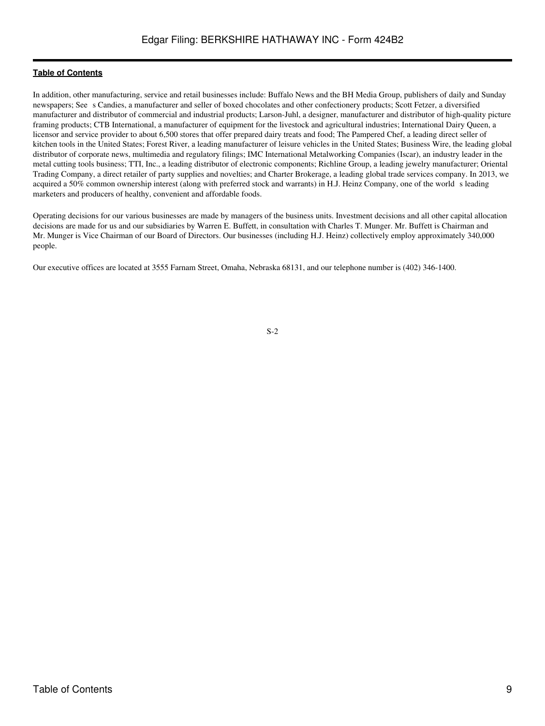In addition, other manufacturing, service and retail businesses include: Buffalo News and the BH Media Group, publishers of daily and Sunday newspapers; Sees Candies, a manufacturer and seller of boxed chocolates and other confectionery products; Scott Fetzer, a diversified manufacturer and distributor of commercial and industrial products; Larson-Juhl, a designer, manufacturer and distributor of high-quality picture framing products; CTB International, a manufacturer of equipment for the livestock and agricultural industries; International Dairy Queen, a licensor and service provider to about 6,500 stores that offer prepared dairy treats and food; The Pampered Chef, a leading direct seller of kitchen tools in the United States; Forest River, a leading manufacturer of leisure vehicles in the United States; Business Wire, the leading global distributor of corporate news, multimedia and regulatory filings; IMC International Metalworking Companies (Iscar), an industry leader in the metal cutting tools business; TTI, Inc., a leading distributor of electronic components; Richline Group, a leading jewelry manufacturer; Oriental Trading Company, a direct retailer of party supplies and novelties; and Charter Brokerage, a leading global trade services company. In 2013, we acquired a 50% common ownership interest (along with preferred stock and warrants) in H.J. Heinz Company, one of the world s leading marketers and producers of healthy, convenient and affordable foods.

Operating decisions for our various businesses are made by managers of the business units. Investment decisions and all other capital allocation decisions are made for us and our subsidiaries by Warren E. Buffett, in consultation with Charles T. Munger. Mr. Buffett is Chairman and Mr. Munger is Vice Chairman of our Board of Directors. Our businesses (including H.J. Heinz) collectively employ approximately 340,000 people.

Our executive offices are located at 3555 Farnam Street, Omaha, Nebraska 68131, and our telephone number is (402) 346-1400.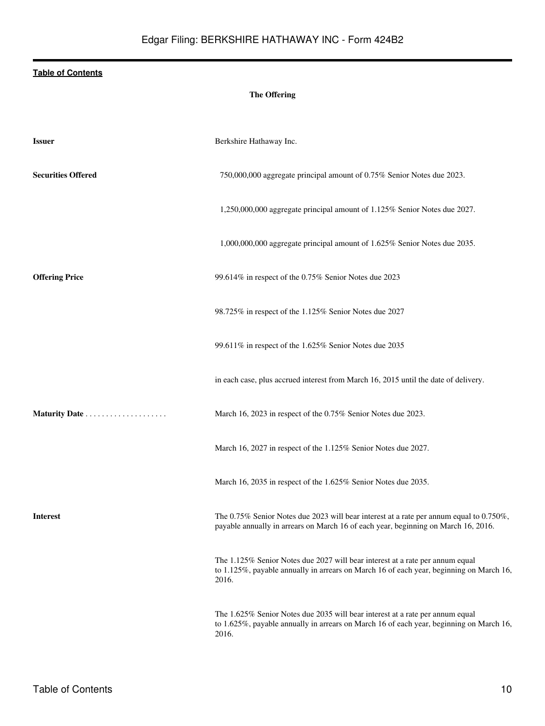# **The Offering**

| <b>Issuer</b>             | Berkshire Hathaway Inc.                                                                                                                                                           |
|---------------------------|-----------------------------------------------------------------------------------------------------------------------------------------------------------------------------------|
| <b>Securities Offered</b> | 750,000,000 aggregate principal amount of 0.75% Senior Notes due 2023.                                                                                                            |
|                           | 1,250,000,000 aggregate principal amount of 1.125% Senior Notes due 2027.                                                                                                         |
|                           | 1,000,000,000 aggregate principal amount of 1.625% Senior Notes due 2035.                                                                                                         |
| <b>Offering Price</b>     | 99.614% in respect of the 0.75% Senior Notes due 2023                                                                                                                             |
|                           | 98.725% in respect of the 1.125% Senior Notes due 2027                                                                                                                            |
|                           | 99.611% in respect of the 1.625% Senior Notes due 2035                                                                                                                            |
|                           | in each case, plus accrued interest from March 16, 2015 until the date of delivery.                                                                                               |
|                           | March 16, 2023 in respect of the 0.75% Senior Notes due 2023.                                                                                                                     |
|                           | March 16, 2027 in respect of the 1.125% Senior Notes due 2027.                                                                                                                    |
|                           | March 16, 2035 in respect of the 1.625% Senior Notes due 2035.                                                                                                                    |
| <b>Interest</b>           | The 0.75% Senior Notes due 2023 will bear interest at a rate per annum equal to 0.750%,<br>payable annually in arrears on March 16 of each year, beginning on March 16, 2016.     |
|                           | The 1.125% Senior Notes due 2027 will bear interest at a rate per annum equal<br>to 1.125%, payable annually in arrears on March 16 of each year, beginning on March 16,<br>2016. |
|                           | The 1.625% Senior Notes due 2035 will bear interest at a rate per annum equal<br>to 1.625%, payable annually in arrears on March 16 of each year, beginning on March 16,<br>2016. |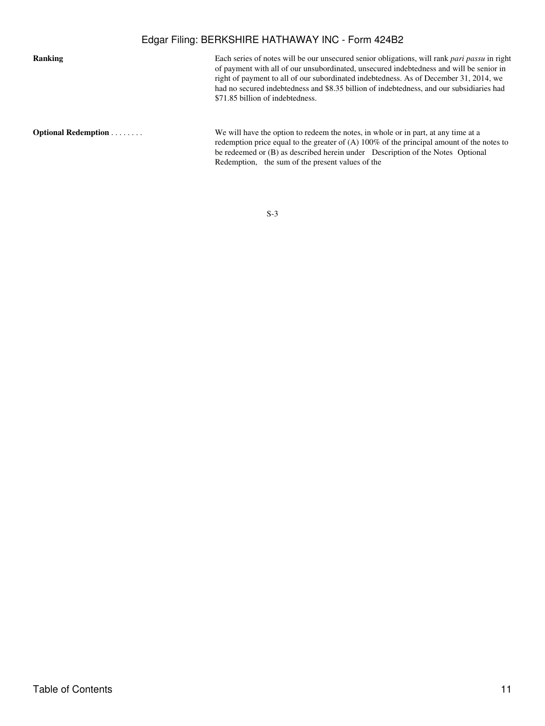# Edgar Filing: BERKSHIRE HATHAWAY INC - Form 424B2

**Ranking** Each series of notes will be our unsecured senior obligations, will rank *pari passu* in right of payment with all of our unsubordinated, unsecured indebtedness and will be senior in right of payment to all of our subordinated indebtedness. As of December 31, 2014, we had no secured indebtedness and \$8.35 billion of indebtedness, and our subsidiaries had \$71.85 billion of indebtedness.

**Optional Redemption** . . . . . . . . . . . We will have the option to redeem the notes, in whole or in part, at any time at a redemption price equal to the greater of (A) 100% of the principal amount of the notes to be redeemed or (B) as described herein under Description of the Notes Optional Redemption, the sum of the present values of the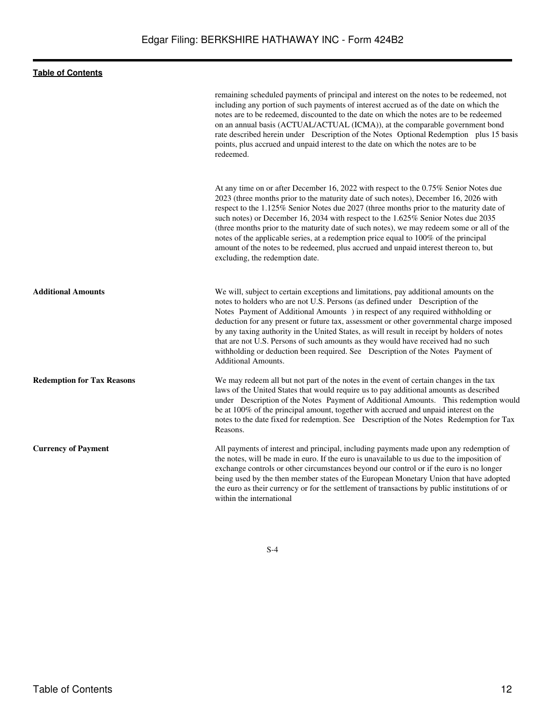|                                   | remaining scheduled payments of principal and interest on the notes to be redeemed, not<br>including any portion of such payments of interest accrued as of the date on which the<br>notes are to be redeemed, discounted to the date on which the notes are to be redeemed<br>on an annual basis (ACTUAL/ACTUAL (ICMA)), at the comparable government bond<br>rate described herein under Description of the Notes Optional Redemption plus 15 basis<br>points, plus accrued and unpaid interest to the date on which the notes are to be<br>redeemed.                                                                                                                      |
|-----------------------------------|------------------------------------------------------------------------------------------------------------------------------------------------------------------------------------------------------------------------------------------------------------------------------------------------------------------------------------------------------------------------------------------------------------------------------------------------------------------------------------------------------------------------------------------------------------------------------------------------------------------------------------------------------------------------------|
|                                   | At any time on or after December 16, 2022 with respect to the 0.75% Senior Notes due<br>2023 (three months prior to the maturity date of such notes), December 16, 2026 with<br>respect to the 1.125% Senior Notes due 2027 (three months prior to the maturity date of<br>such notes) or December 16, 2034 with respect to the 1.625% Senior Notes due 2035<br>(three months prior to the maturity date of such notes), we may redeem some or all of the<br>notes of the applicable series, at a redemption price equal to 100% of the principal<br>amount of the notes to be redeemed, plus accrued and unpaid interest thereon to, but<br>excluding, the redemption date. |
| <b>Additional Amounts</b>         | We will, subject to certain exceptions and limitations, pay additional amounts on the<br>notes to holders who are not U.S. Persons (as defined under Description of the<br>Notes Payment of Additional Amounts ) in respect of any required withholding or<br>deduction for any present or future tax, assessment or other governmental charge imposed<br>by any taxing authority in the United States, as will result in receipt by holders of notes<br>that are not U.S. Persons of such amounts as they would have received had no such<br>withholding or deduction been required. See Description of the Notes Payment of<br><b>Additional Amounts.</b>                  |
| <b>Redemption for Tax Reasons</b> | We may redeem all but not part of the notes in the event of certain changes in the tax<br>laws of the United States that would require us to pay additional amounts as described<br>under Description of the Notes Payment of Additional Amounts. This redemption would<br>be at 100% of the principal amount, together with accrued and unpaid interest on the<br>notes to the date fixed for redemption. See Description of the Notes Redemption for Tax<br>Reasons.                                                                                                                                                                                                       |
| <b>Currency of Payment</b>        | All payments of interest and principal, including payments made upon any redemption of<br>the notes, will be made in euro. If the euro is unavailable to us due to the imposition of<br>exchange controls or other circumstances beyond our control or if the euro is no longer<br>being used by the then member states of the European Monetary Union that have adopted<br>the euro as their currency or for the settlement of transactions by public institutions of or<br>within the international                                                                                                                                                                        |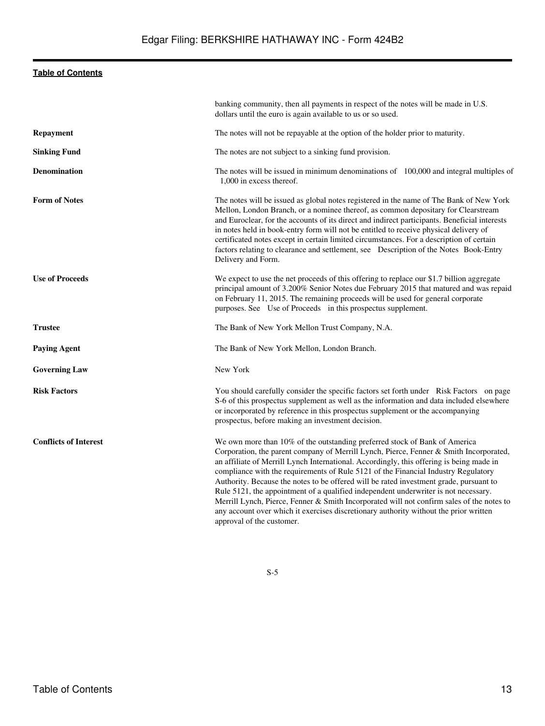|                              | banking community, then all payments in respect of the notes will be made in U.S.<br>dollars until the euro is again available to us or so used.                                                                                                                                                                                                                                                                                                                                                                                                                                                                                                                                                                                                           |
|------------------------------|------------------------------------------------------------------------------------------------------------------------------------------------------------------------------------------------------------------------------------------------------------------------------------------------------------------------------------------------------------------------------------------------------------------------------------------------------------------------------------------------------------------------------------------------------------------------------------------------------------------------------------------------------------------------------------------------------------------------------------------------------------|
| <b>Repayment</b>             | The notes will not be repayable at the option of the holder prior to maturity.                                                                                                                                                                                                                                                                                                                                                                                                                                                                                                                                                                                                                                                                             |
| <b>Sinking Fund</b>          | The notes are not subject to a sinking fund provision.                                                                                                                                                                                                                                                                                                                                                                                                                                                                                                                                                                                                                                                                                                     |
| <b>Denomination</b>          | The notes will be issued in minimum denominations of 100,000 and integral multiples of<br>1,000 in excess thereof.                                                                                                                                                                                                                                                                                                                                                                                                                                                                                                                                                                                                                                         |
| <b>Form of Notes</b>         | The notes will be issued as global notes registered in the name of The Bank of New York<br>Mellon, London Branch, or a nominee thereof, as common depositary for Clearstream<br>and Euroclear, for the accounts of its direct and indirect participants. Beneficial interests<br>in notes held in book-entry form will not be entitled to receive physical delivery of<br>certificated notes except in certain limited circumstances. For a description of certain<br>factors relating to clearance and settlement, see Description of the Notes Book-Entry<br>Delivery and Form.                                                                                                                                                                          |
| <b>Use of Proceeds</b>       | We expect to use the net proceeds of this offering to replace our \$1.7 billion aggregate<br>principal amount of 3.200% Senior Notes due February 2015 that matured and was repaid<br>on February 11, 2015. The remaining proceeds will be used for general corporate<br>purposes. See Use of Proceeds in this prospectus supplement.                                                                                                                                                                                                                                                                                                                                                                                                                      |
| <b>Trustee</b>               | The Bank of New York Mellon Trust Company, N.A.                                                                                                                                                                                                                                                                                                                                                                                                                                                                                                                                                                                                                                                                                                            |
| <b>Paying Agent</b>          | The Bank of New York Mellon, London Branch.                                                                                                                                                                                                                                                                                                                                                                                                                                                                                                                                                                                                                                                                                                                |
| <b>Governing Law</b>         | New York                                                                                                                                                                                                                                                                                                                                                                                                                                                                                                                                                                                                                                                                                                                                                   |
| <b>Risk Factors</b>          | You should carefully consider the specific factors set forth under Risk Factors on page<br>S-6 of this prospectus supplement as well as the information and data included elsewhere<br>or incorporated by reference in this prospectus supplement or the accompanying<br>prospectus, before making an investment decision.                                                                                                                                                                                                                                                                                                                                                                                                                                 |
| <b>Conflicts of Interest</b> | We own more than 10% of the outstanding preferred stock of Bank of America<br>Corporation, the parent company of Merrill Lynch, Pierce, Fenner & Smith Incorporated,<br>an affiliate of Merrill Lynch International. Accordingly, this offering is being made in<br>compliance with the requirements of Rule 5121 of the Financial Industry Regulatory<br>Authority. Because the notes to be offered will be rated investment grade, pursuant to<br>Rule 5121, the appointment of a qualified independent underwriter is not necessary.<br>Merrill Lynch, Pierce, Fenner & Smith Incorporated will not confirm sales of the notes to<br>any account over which it exercises discretionary authority without the prior written<br>approval of the customer. |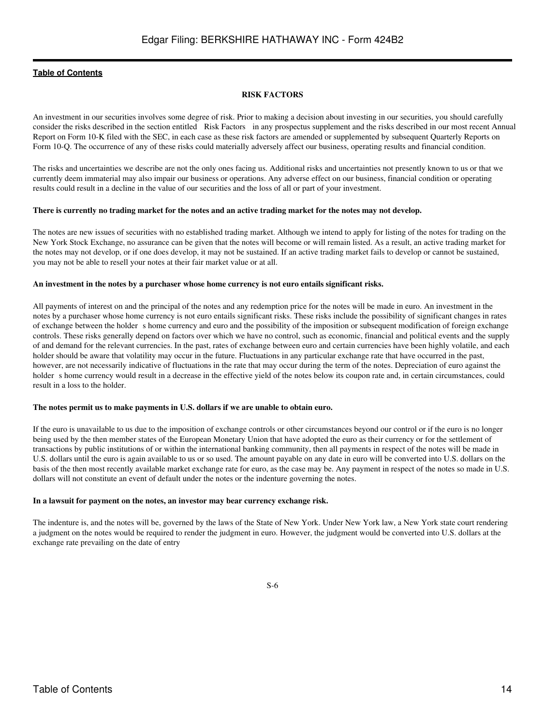#### **RISK FACTORS**

<span id="page-13-0"></span>An investment in our securities involves some degree of risk. Prior to making a decision about investing in our securities, you should carefully consider the risks described in the section entitled Risk Factors in any prospectus supplement and the risks described in our most recent Annual Report on Form 10-K filed with the SEC, in each case as these risk factors are amended or supplemented by subsequent Quarterly Reports on Form 10-Q. The occurrence of any of these risks could materially adversely affect our business, operating results and financial condition.

The risks and uncertainties we describe are not the only ones facing us. Additional risks and uncertainties not presently known to us or that we currently deem immaterial may also impair our business or operations. Any adverse effect on our business, financial condition or operating results could result in a decline in the value of our securities and the loss of all or part of your investment.

#### **There is currently no trading market for the notes and an active trading market for the notes may not develop.**

The notes are new issues of securities with no established trading market. Although we intend to apply for listing of the notes for trading on the New York Stock Exchange, no assurance can be given that the notes will become or will remain listed. As a result, an active trading market for the notes may not develop, or if one does develop, it may not be sustained. If an active trading market fails to develop or cannot be sustained, you may not be able to resell your notes at their fair market value or at all.

#### **An investment in the notes by a purchaser whose home currency is not euro entails significant risks.**

All payments of interest on and the principal of the notes and any redemption price for the notes will be made in euro. An investment in the notes by a purchaser whose home currency is not euro entails significant risks. These risks include the possibility of significant changes in rates of exchange between the holder s home currency and euro and the possibility of the imposition or subsequent modification of foreign exchange controls. These risks generally depend on factors over which we have no control, such as economic, financial and political events and the supply of and demand for the relevant currencies. In the past, rates of exchange between euro and certain currencies have been highly volatile, and each holder should be aware that volatility may occur in the future. Fluctuations in any particular exchange rate that have occurred in the past, however, are not necessarily indicative of fluctuations in the rate that may occur during the term of the notes. Depreciation of euro against the holder s home currency would result in a decrease in the effective yield of the notes below its coupon rate and, in certain circumstances, could result in a loss to the holder.

#### **The notes permit us to make payments in U.S. dollars if we are unable to obtain euro.**

If the euro is unavailable to us due to the imposition of exchange controls or other circumstances beyond our control or if the euro is no longer being used by the then member states of the European Monetary Union that have adopted the euro as their currency or for the settlement of transactions by public institutions of or within the international banking community, then all payments in respect of the notes will be made in U.S. dollars until the euro is again available to us or so used. The amount payable on any date in euro will be converted into U.S. dollars on the basis of the then most recently available market exchange rate for euro, as the case may be. Any payment in respect of the notes so made in U.S. dollars will not constitute an event of default under the notes or the indenture governing the notes.

### **In a lawsuit for payment on the notes, an investor may bear currency exchange risk.**

The indenture is, and the notes will be, governed by the laws of the State of New York. Under New York law, a New York state court rendering a judgment on the notes would be required to render the judgment in euro. However, the judgment would be converted into U.S. dollars at the exchange rate prevailing on the date of entry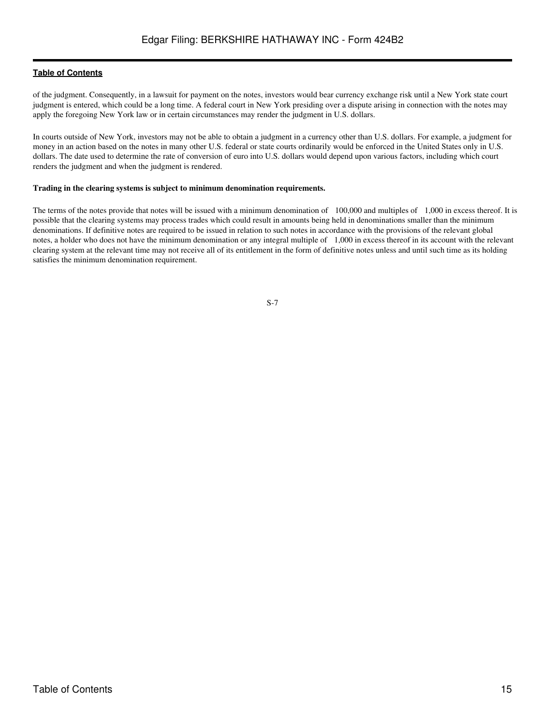of the judgment. Consequently, in a lawsuit for payment on the notes, investors would bear currency exchange risk until a New York state court judgment is entered, which could be a long time. A federal court in New York presiding over a dispute arising in connection with the notes may apply the foregoing New York law or in certain circumstances may render the judgment in U.S. dollars.

In courts outside of New York, investors may not be able to obtain a judgment in a currency other than U.S. dollars. For example, a judgment for money in an action based on the notes in many other U.S. federal or state courts ordinarily would be enforced in the United States only in U.S. dollars. The date used to determine the rate of conversion of euro into U.S. dollars would depend upon various factors, including which court renders the judgment and when the judgment is rendered.

#### **Trading in the clearing systems is subject to minimum denomination requirements.**

The terms of the notes provide that notes will be issued with a minimum denomination of 100,000 and multiples of 1,000 in excess thereof. It is possible that the clearing systems may process trades which could result in amounts being held in denominations smaller than the minimum denominations. If definitive notes are required to be issued in relation to such notes in accordance with the provisions of the relevant global notes, a holder who does not have the minimum denomination or any integral multiple of 1,000 in excess thereof in its account with the relevant clearing system at the relevant time may not receive all of its entitlement in the form of definitive notes unless and until such time as its holding satisfies the minimum denomination requirement.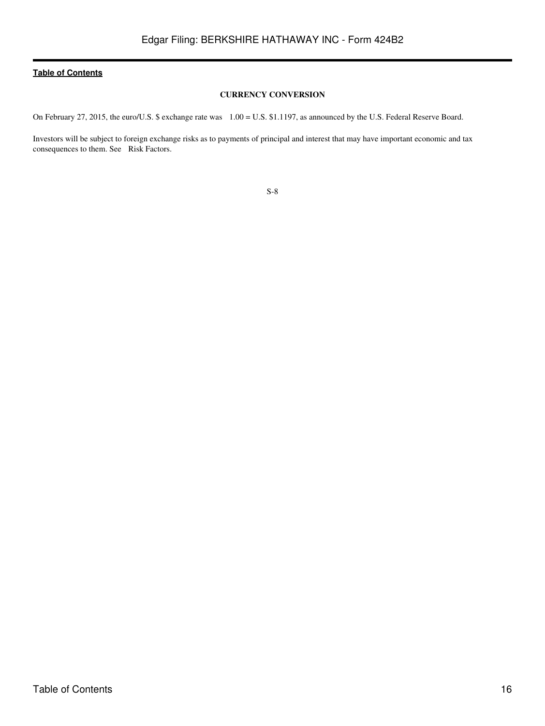### **CURRENCY CONVERSION**

<span id="page-15-0"></span>On February 27, 2015, the euro/U.S. \$ exchange rate was 1.00 = U.S. \$1.1197, as announced by the U.S. Federal Reserve Board.

Investors will be subject to foreign exchange risks as to payments of principal and interest that may have important economic and tax consequences to them. See Risk Factors.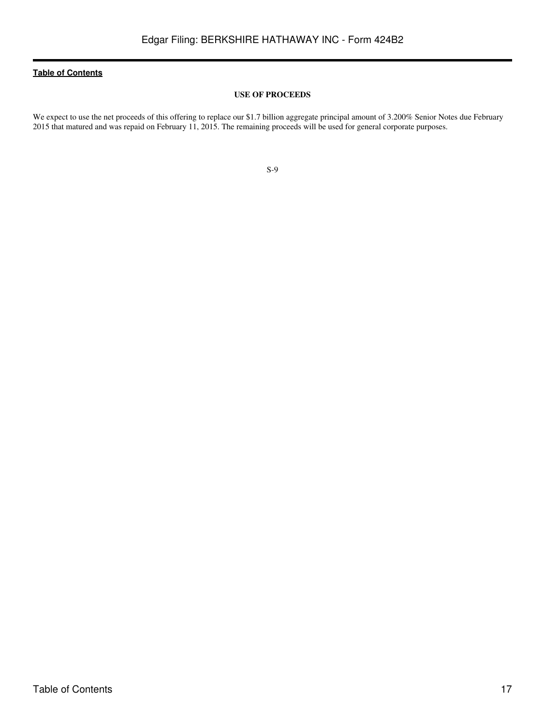#### **USE OF PROCEEDS**

<span id="page-16-0"></span>We expect to use the net proceeds of this offering to replace our \$1.7 billion aggregate principal amount of 3.200% Senior Notes due February 2015 that matured and was repaid on February 11, 2015. The remaining proceeds will be used for general corporate purposes.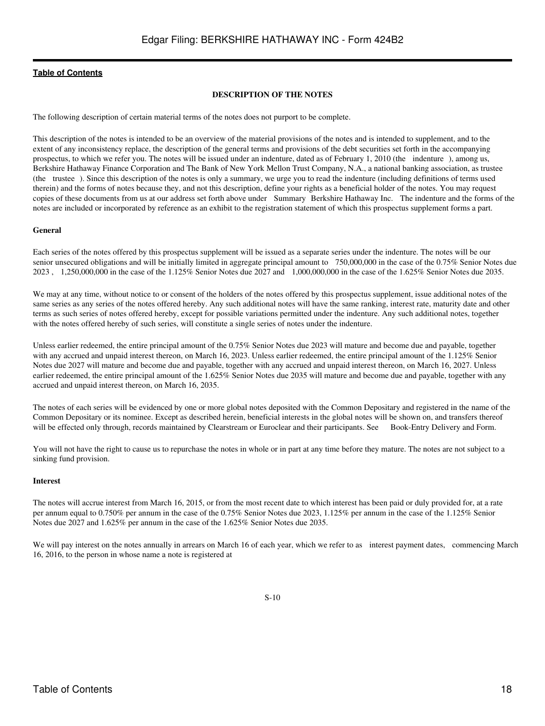#### **DESCRIPTION OF THE NOTES**

<span id="page-17-0"></span>The following description of certain material terms of the notes does not purport to be complete.

This description of the notes is intended to be an overview of the material provisions of the notes and is intended to supplement, and to the extent of any inconsistency replace, the description of the general terms and provisions of the debt securities set forth in the accompanying prospectus, to which we refer you. The notes will be issued under an indenture, dated as of February 1, 2010 (the indenture), among us, Berkshire Hathaway Finance Corporation and The Bank of New York Mellon Trust Company, N.A., a national banking association, as trustee (the trustee). Since this description of the notes is only a summary, we urge you to read the indenture (including definitions of terms used therein) and the forms of notes because they, and not this description, define your rights as a beneficial holder of the notes. You may request copies of these documents from us at our address set forth above under Summary Berkshire Hathaway Inc. The indenture and the forms of the notes are included or incorporated by reference as an exhibit to the registration statement of which this prospectus supplement forms a part.

#### **General**

Each series of the notes offered by this prospectus supplement will be issued as a separate series under the indenture. The notes will be our senior unsecured obligations and will be initially limited in aggregate principal amount to 750,000,000 in the case of the 0.75% Senior Notes due 2023 , 1,250,000,000 in the case of the 1.125% Senior Notes due 2027 and 1,000,000,000 in the case of the 1.625% Senior Notes due 2035.

We may at any time, without notice to or consent of the holders of the notes offered by this prospectus supplement, issue additional notes of the same series as any series of the notes offered hereby. Any such additional notes will have the same ranking, interest rate, maturity date and other terms as such series of notes offered hereby, except for possible variations permitted under the indenture. Any such additional notes, together with the notes offered hereby of such series, will constitute a single series of notes under the indenture.

Unless earlier redeemed, the entire principal amount of the 0.75% Senior Notes due 2023 will mature and become due and payable, together with any accrued and unpaid interest thereon, on March 16, 2023. Unless earlier redeemed, the entire principal amount of the 1.125% Senior Notes due 2027 will mature and become due and payable, together with any accrued and unpaid interest thereon, on March 16, 2027. Unless earlier redeemed, the entire principal amount of the 1.625% Senior Notes due 2035 will mature and become due and payable, together with any accrued and unpaid interest thereon, on March 16, 2035.

The notes of each series will be evidenced by one or more global notes deposited with the Common Depositary and registered in the name of the Common Depositary or its nominee. Except as described herein, beneficial interests in the global notes will be shown on, and transfers thereof will be effected only through, records maintained by Clearstream or Euroclear and their participants. See Book-Entry Delivery and Form.

You will not have the right to cause us to repurchase the notes in whole or in part at any time before they mature. The notes are not subject to a sinking fund provision.

#### **Interest**

The notes will accrue interest from March 16, 2015, or from the most recent date to which interest has been paid or duly provided for, at a rate per annum equal to 0.750% per annum in the case of the 0.75% Senior Notes due 2023, 1.125% per annum in the case of the 1.125% Senior Notes due 2027 and 1.625% per annum in the case of the 1.625% Senior Notes due 2035.

We will pay interest on the notes annually in arrears on March 16 of each year, which we refer to as interest payment dates, commencing March 16, 2016, to the person in whose name a note is registered at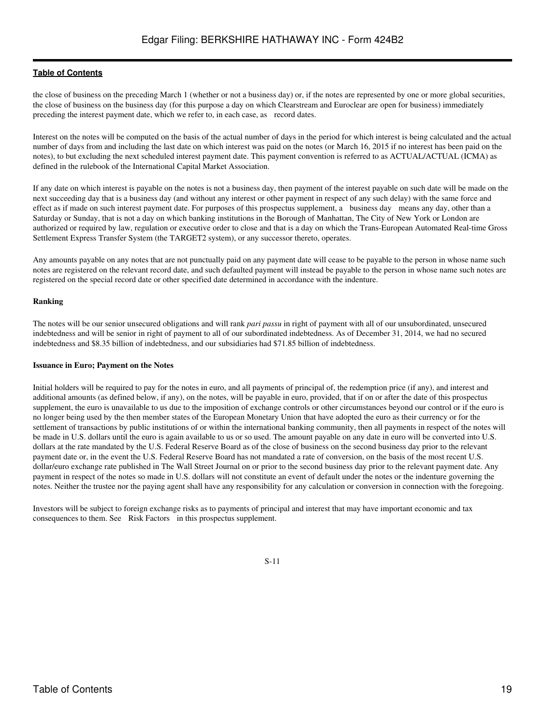the close of business on the preceding March 1 (whether or not a business day) or, if the notes are represented by one or more global securities, the close of business on the business day (for this purpose a day on which Clearstream and Euroclear are open for business) immediately preceding the interest payment date, which we refer to, in each case, as record dates.

Interest on the notes will be computed on the basis of the actual number of days in the period for which interest is being calculated and the actual number of days from and including the last date on which interest was paid on the notes (or March 16, 2015 if no interest has been paid on the notes), to but excluding the next scheduled interest payment date. This payment convention is referred to as ACTUAL/ACTUAL (ICMA) as defined in the rulebook of the International Capital Market Association.

If any date on which interest is payable on the notes is not a business day, then payment of the interest payable on such date will be made on the next succeeding day that is a business day (and without any interest or other payment in respect of any such delay) with the same force and effect as if made on such interest payment date. For purposes of this prospectus supplement, a business day means any day, other than a Saturday or Sunday, that is not a day on which banking institutions in the Borough of Manhattan, The City of New York or London are authorized or required by law, regulation or executive order to close and that is a day on which the Trans-European Automated Real-time Gross Settlement Express Transfer System (the TARGET2 system), or any successor thereto, operates.

Any amounts payable on any notes that are not punctually paid on any payment date will cease to be payable to the person in whose name such notes are registered on the relevant record date, and such defaulted payment will instead be payable to the person in whose name such notes are registered on the special record date or other specified date determined in accordance with the indenture.

### **Ranking**

The notes will be our senior unsecured obligations and will rank *pari passu* in right of payment with all of our unsubordinated, unsecured indebtedness and will be senior in right of payment to all of our subordinated indebtedness. As of December 31, 2014, we had no secured indebtedness and \$8.35 billion of indebtedness, and our subsidiaries had \$71.85 billion of indebtedness.

#### **Issuance in Euro; Payment on the Notes**

Initial holders will be required to pay for the notes in euro, and all payments of principal of, the redemption price (if any), and interest and additional amounts (as defined below, if any), on the notes, will be payable in euro, provided, that if on or after the date of this prospectus supplement, the euro is unavailable to us due to the imposition of exchange controls or other circumstances beyond our control or if the euro is no longer being used by the then member states of the European Monetary Union that have adopted the euro as their currency or for the settlement of transactions by public institutions of or within the international banking community, then all payments in respect of the notes will be made in U.S. dollars until the euro is again available to us or so used. The amount payable on any date in euro will be converted into U.S. dollars at the rate mandated by the U.S. Federal Reserve Board as of the close of business on the second business day prior to the relevant payment date or, in the event the U.S. Federal Reserve Board has not mandated a rate of conversion, on the basis of the most recent U.S. dollar/euro exchange rate published in The Wall Street Journal on or prior to the second business day prior to the relevant payment date. Any payment in respect of the notes so made in U.S. dollars will not constitute an event of default under the notes or the indenture governing the notes. Neither the trustee nor the paying agent shall have any responsibility for any calculation or conversion in connection with the foregoing.

Investors will be subject to foreign exchange risks as to payments of principal and interest that may have important economic and tax consequences to them. See Risk Factors in this prospectus supplement.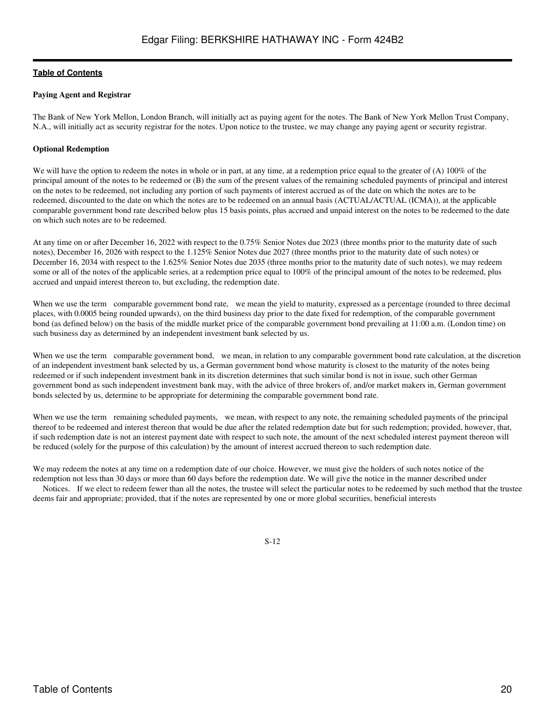#### **Paying Agent and Registrar**

The Bank of New York Mellon, London Branch, will initially act as paying agent for the notes. The Bank of New York Mellon Trust Company, N.A., will initially act as security registrar for the notes. Upon notice to the trustee, we may change any paying agent or security registrar.

#### **Optional Redemption**

We will have the option to redeem the notes in whole or in part, at any time, at a redemption price equal to the greater of (A) 100% of the principal amount of the notes to be redeemed or (B) the sum of the present values of the remaining scheduled payments of principal and interest on the notes to be redeemed, not including any portion of such payments of interest accrued as of the date on which the notes are to be redeemed, discounted to the date on which the notes are to be redeemed on an annual basis (ACTUAL/ACTUAL (ICMA)), at the applicable comparable government bond rate described below plus 15 basis points, plus accrued and unpaid interest on the notes to be redeemed to the date on which such notes are to be redeemed.

At any time on or after December 16, 2022 with respect to the 0.75% Senior Notes due 2023 (three months prior to the maturity date of such notes), December 16, 2026 with respect to the 1.125% Senior Notes due 2027 (three months prior to the maturity date of such notes) or December 16, 2034 with respect to the 1.625% Senior Notes due 2035 (three months prior to the maturity date of such notes), we may redeem some or all of the notes of the applicable series, at a redemption price equal to 100% of the principal amount of the notes to be redeemed, plus accrued and unpaid interest thereon to, but excluding, the redemption date.

When we use the term comparable government bond rate, we mean the yield to maturity, expressed as a percentage (rounded to three decimal places, with 0.0005 being rounded upwards), on the third business day prior to the date fixed for redemption, of the comparable government bond (as defined below) on the basis of the middle market price of the comparable government bond prevailing at 11:00 a.m. (London time) on such business day as determined by an independent investment bank selected by us.

When we use the term comparable government bond, we mean, in relation to any comparable government bond rate calculation, at the discretion of an independent investment bank selected by us, a German government bond whose maturity is closest to the maturity of the notes being redeemed or if such independent investment bank in its discretion determines that such similar bond is not in issue, such other German government bond as such independent investment bank may, with the advice of three brokers of, and/or market makers in, German government bonds selected by us, determine to be appropriate for determining the comparable government bond rate.

When we use the term remaining scheduled payments, we mean, with respect to any note, the remaining scheduled payments of the principal thereof to be redeemed and interest thereon that would be due after the related redemption date but for such redemption; provided, however, that, if such redemption date is not an interest payment date with respect to such note, the amount of the next scheduled interest payment thereon will be reduced (solely for the purpose of this calculation) by the amount of interest accrued thereon to such redemption date.

We may redeem the notes at any time on a redemption date of our choice. However, we must give the holders of such notes notice of the redemption not less than 30 days or more than 60 days before the redemption date. We will give the notice in the manner described under

Notices. If we elect to redeem fewer than all the notes, the trustee will select the particular notes to be redeemed by such method that the trustee deems fair and appropriate; provided, that if the notes are represented by one or more global securities, beneficial interests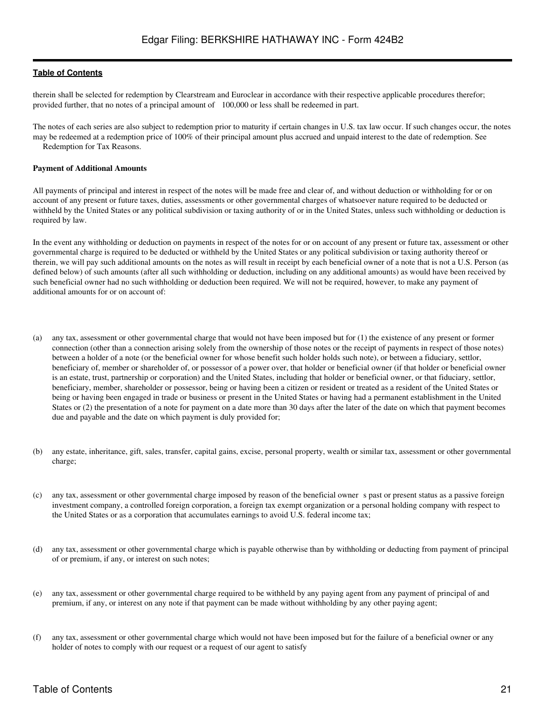therein shall be selected for redemption by Clearstream and Euroclear in accordance with their respective applicable procedures therefor; provided further, that no notes of a principal amount of 100,000 or less shall be redeemed in part.

The notes of each series are also subject to redemption prior to maturity if certain changes in U.S. tax law occur. If such changes occur, the notes may be redeemed at a redemption price of 100% of their principal amount plus accrued and unpaid interest to the date of redemption. See Redemption for Tax Reasons.

#### **Payment of Additional Amounts**

All payments of principal and interest in respect of the notes will be made free and clear of, and without deduction or withholding for or on account of any present or future taxes, duties, assessments or other governmental charges of whatsoever nature required to be deducted or withheld by the United States or any political subdivision or taxing authority of or in the United States, unless such withholding or deduction is required by law.

In the event any withholding or deduction on payments in respect of the notes for or on account of any present or future tax, assessment or other governmental charge is required to be deducted or withheld by the United States or any political subdivision or taxing authority thereof or therein, we will pay such additional amounts on the notes as will result in receipt by each beneficial owner of a note that is not a U.S. Person (as defined below) of such amounts (after all such withholding or deduction, including on any additional amounts) as would have been received by such beneficial owner had no such withholding or deduction been required. We will not be required, however, to make any payment of additional amounts for or on account of:

- (a) any tax, assessment or other governmental charge that would not have been imposed but for (1) the existence of any present or former connection (other than a connection arising solely from the ownership of those notes or the receipt of payments in respect of those notes) between a holder of a note (or the beneficial owner for whose benefit such holder holds such note), or between a fiduciary, settlor, beneficiary of, member or shareholder of, or possessor of a power over, that holder or beneficial owner (if that holder or beneficial owner is an estate, trust, partnership or corporation) and the United States, including that holder or beneficial owner, or that fiduciary, settlor, beneficiary, member, shareholder or possessor, being or having been a citizen or resident or treated as a resident of the United States or being or having been engaged in trade or business or present in the United States or having had a permanent establishment in the United States or (2) the presentation of a note for payment on a date more than 30 days after the later of the date on which that payment becomes due and payable and the date on which payment is duly provided for;
- (b) any estate, inheritance, gift, sales, transfer, capital gains, excise, personal property, wealth or similar tax, assessment or other governmental charge;
- (c) any tax, assessment or other governmental charge imposed by reason of the beneficial owners past or present status as a passive foreign investment company, a controlled foreign corporation, a foreign tax exempt organization or a personal holding company with respect to the United States or as a corporation that accumulates earnings to avoid U.S. federal income tax;
- (d) any tax, assessment or other governmental charge which is payable otherwise than by withholding or deducting from payment of principal of or premium, if any, or interest on such notes;
- (e) any tax, assessment or other governmental charge required to be withheld by any paying agent from any payment of principal of and premium, if any, or interest on any note if that payment can be made without withholding by any other paying agent;
- (f) any tax, assessment or other governmental charge which would not have been imposed but for the failure of a beneficial owner or any holder of notes to comply with our request or a request of our agent to satisfy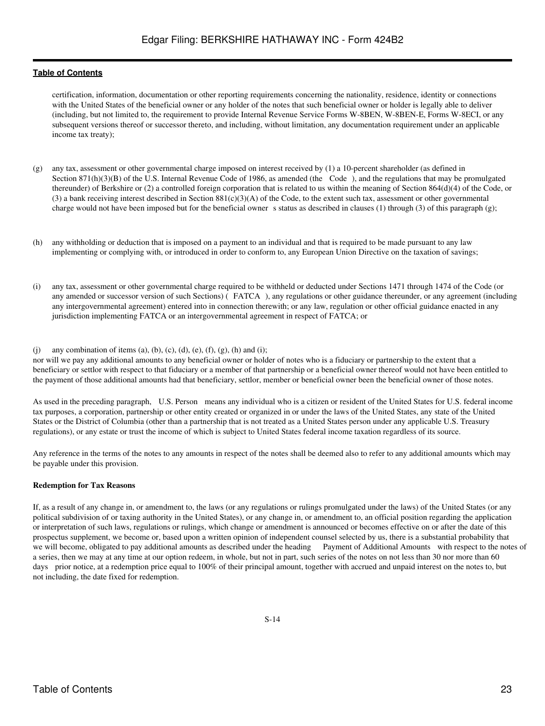certification, information, documentation or other reporting requirements concerning the nationality, residence, identity or connections with the United States of the beneficial owner or any holder of the notes that such beneficial owner or holder is legally able to deliver (including, but not limited to, the requirement to provide Internal Revenue Service Forms W-8BEN, W-8BEN-E, Forms W-8ECI, or any subsequent versions thereof or successor thereto, and including, without limitation, any documentation requirement under an applicable income tax treaty);

- (g) any tax, assessment or other governmental charge imposed on interest received by (1) a 10-percent shareholder (as defined in Section  $871(h)(3)(B)$  of the U.S. Internal Revenue Code of 1986, as amended (the Code), and the regulations that may be promulgated thereunder) of Berkshire or (2) a controlled foreign corporation that is related to us within the meaning of Section 864(d)(4) of the Code, or (3) a bank receiving interest described in Section 881(c)(3)(A) of the Code, to the extent such tax, assessment or other governmental charge would not have been imposed but for the beneficial owner s status as described in clauses (1) through (3) of this paragraph (g);
- (h) any withholding or deduction that is imposed on a payment to an individual and that is required to be made pursuant to any law implementing or complying with, or introduced in order to conform to, any European Union Directive on the taxation of savings;
- (i) any tax, assessment or other governmental charge required to be withheld or deducted under Sections 1471 through 1474 of the Code (or any amended or successor version of such Sections) (FATCA), any regulations or other guidance thereunder, or any agreement (including any intergovernmental agreement) entered into in connection therewith; or any law, regulation or other official guidance enacted in any jurisdiction implementing FATCA or an intergovernmental agreement in respect of FATCA; or

#### (j) any combination of items (a), (b), (c), (d), (e), (f), (g), (h) and (i);

nor will we pay any additional amounts to any beneficial owner or holder of notes who is a fiduciary or partnership to the extent that a beneficiary or settlor with respect to that fiduciary or a member of that partnership or a beneficial owner thereof would not have been entitled to the payment of those additional amounts had that beneficiary, settlor, member or beneficial owner been the beneficial owner of those notes.

As used in the preceding paragraph, U.S. Person means any individual who is a citizen or resident of the United States for U.S. federal income tax purposes, a corporation, partnership or other entity created or organized in or under the laws of the United States, any state of the United States or the District of Columbia (other than a partnership that is not treated as a United States person under any applicable U.S. Treasury regulations), or any estate or trust the income of which is subject to United States federal income taxation regardless of its source.

Any reference in the terms of the notes to any amounts in respect of the notes shall be deemed also to refer to any additional amounts which may be payable under this provision.

### **Redemption for Tax Reasons**

If, as a result of any change in, or amendment to, the laws (or any regulations or rulings promulgated under the laws) of the United States (or any political subdivision of or taxing authority in the United States), or any change in, or amendment to, an official position regarding the application or interpretation of such laws, regulations or rulings, which change or amendment is announced or becomes effective on or after the date of this prospectus supplement, we become or, based upon a written opinion of independent counsel selected by us, there is a substantial probability that we will become, obligated to pay additional amounts as described under the he we will become, obligated to pay additional amounts as described under the heading a series, then we may at any time at our option redeem, in whole, but not in part, such series of the notes on not less than 30 nor more than 60 days prior notice, at a redemption price equal to 100% of their principal amount, together with accrued and unpaid interest on the notes to, but not including, the date fixed for redemption.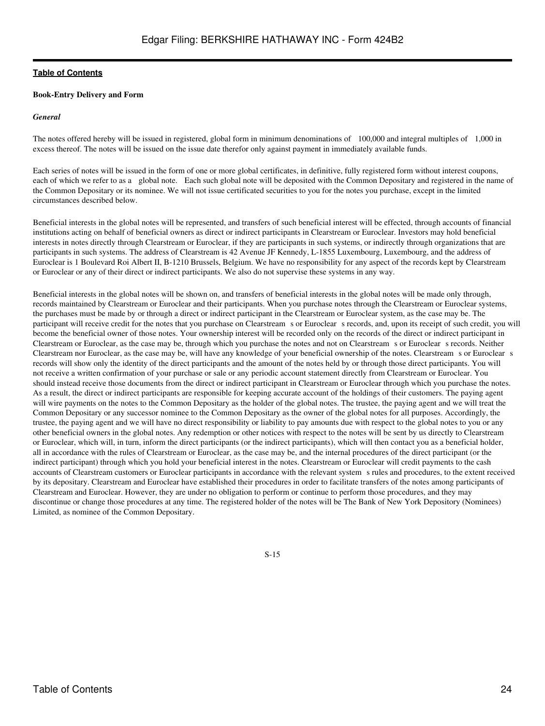#### **Book-Entry Delivery and Form**

#### *General*

The notes offered hereby will be issued in registered, global form in minimum denominations of 100,000 and integral multiples of 1,000 in excess thereof. The notes will be issued on the issue date therefor only against payment in immediately available funds.

Each series of notes will be issued in the form of one or more global certificates, in definitive, fully registered form without interest coupons, each of which we refer to as a global note. Each such global note will be deposited with the Common Depositary and registered in the name of the Common Depositary or its nominee. We will not issue certificated securities to you for the notes you purchase, except in the limited circumstances described below.

Beneficial interests in the global notes will be represented, and transfers of such beneficial interest will be effected, through accounts of financial institutions acting on behalf of beneficial owners as direct or indirect participants in Clearstream or Euroclear. Investors may hold beneficial interests in notes directly through Clearstream or Euroclear, if they are participants in such systems, or indirectly through organizations that are participants in such systems. The address of Clearstream is 42 Avenue JF Kennedy, L-1855 Luxembourg, Luxembourg, and the address of Euroclear is 1 Boulevard Roi Albert II, B-1210 Brussels, Belgium. We have no responsibility for any aspect of the records kept by Clearstream or Euroclear or any of their direct or indirect participants. We also do not supervise these systems in any way.

Beneficial interests in the global notes will be shown on, and transfers of beneficial interests in the global notes will be made only through, records maintained by Clearstream or Euroclear and their participants. When you purchase notes through the Clearstream or Euroclear systems, the purchases must be made by or through a direct or indirect participant in the Clearstream or Euroclear system, as the case may be. The participant will receive credit for the notes that you purchase on Clearstream s or Euroclear s records, and, upon its receipt of such credit, you will become the beneficial owner of those notes. Your ownership interest will be recorded only on the records of the direct or indirect participant in Clearstream or Euroclear, as the case may be, through which you purchase the notes and not on Clearstream s or Euroclear s records. Neither Clearstream nor Euroclear, as the case may be, will have any knowledge of your beneficial ownership of the notes. Clearstream s or Euroclear s records will show only the identity of the direct participants and the amount of the notes held by or through those direct participants. You will not receive a written confirmation of your purchase or sale or any periodic account statement directly from Clearstream or Euroclear. You should instead receive those documents from the direct or indirect participant in Clearstream or Euroclear through which you purchase the notes. As a result, the direct or indirect participants are responsible for keeping accurate account of the holdings of their customers. The paying agent will wire payments on the notes to the Common Depositary as the holder of the global notes. The trustee, the paying agent and we will treat the Common Depositary or any successor nominee to the Common Depositary as the owner of the global notes for all purposes. Accordingly, the trustee, the paying agent and we will have no direct responsibility or liability to pay amounts due with respect to the global notes to you or any other beneficial owners in the global notes. Any redemption or other notices with respect to the notes will be sent by us directly to Clearstream or Euroclear, which will, in turn, inform the direct participants (or the indirect participants), which will then contact you as a beneficial holder, all in accordance with the rules of Clearstream or Euroclear, as the case may be, and the internal procedures of the direct participant (or the indirect participant) through which you hold your beneficial interest in the notes. Clearstream or Euroclear will credit payments to the cash accounts of Clearstream customers or Euroclear participants in accordance with the relevant systems rules and procedures, to the extent received by its depositary. Clearstream and Euroclear have established their procedures in order to facilitate transfers of the notes among participants of Clearstream and Euroclear. However, they are under no obligation to perform or continue to perform those procedures, and they may discontinue or change those procedures at any time. The registered holder of the notes will be The Bank of New York Depository (Nominees) Limited, as nominee of the Common Depositary.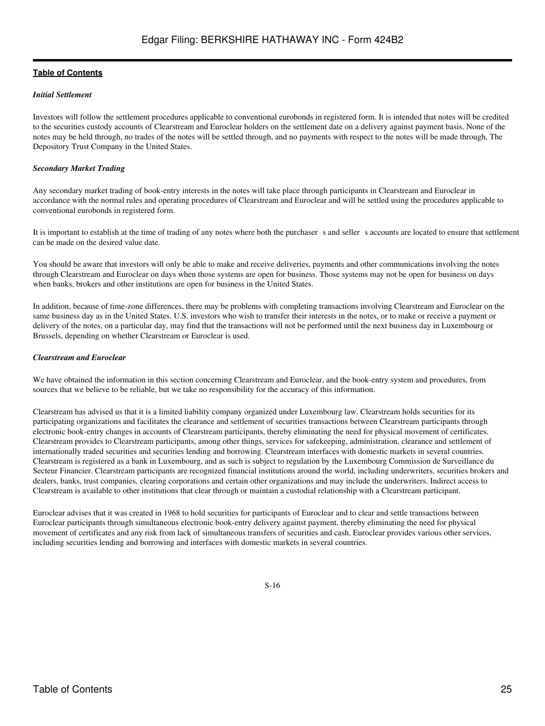#### *Initial Settlement*

Investors will follow the settlement procedures applicable to conventional eurobonds in registered form. It is intended that notes will be credited to the securities custody accounts of Clearstream and Euroclear holders on the settlement date on a delivery against payment basis. None of the notes may be held through, no trades of the notes will be settled through, and no payments with respect to the notes will be made through, The Depository Trust Company in the United States.

#### *Secondary Market Trading*

Any secondary market trading of book-entry interests in the notes will take place through participants in Clearstream and Euroclear in accordance with the normal rules and operating procedures of Clearstream and Euroclear and will be settled using the procedures applicable to conventional eurobonds in registered form.

It is important to establish at the time of trading of any notes where both the purchaser s and seller s accounts are located to ensure that settlement can be made on the desired value date.

You should be aware that investors will only be able to make and receive deliveries, payments and other communications involving the notes through Clearstream and Euroclear on days when those systems are open for business. Those systems may not be open for business on days when banks, brokers and other institutions are open for business in the United States.

In addition, because of time-zone differences, there may be problems with completing transactions involving Clearstream and Euroclear on the same business day as in the United States. U.S. investors who wish to transfer their interests in the notes, or to make or receive a payment or delivery of the notes, on a particular day, may find that the transactions will not be performed until the next business day in Luxembourg or Brussels, depending on whether Clearstream or Euroclear is used.

#### *Clearstream and Euroclear*

We have obtained the information in this section concerning Clearstream and Euroclear, and the book-entry system and procedures, from sources that we believe to be reliable, but we take no responsibility for the accuracy of this information.

Clearstream has advised us that it is a limited liability company organized under Luxembourg law. Clearstream holds securities for its participating organizations and facilitates the clearance and settlement of securities transactions between Clearstream participants through electronic book-entry changes in accounts of Clearstream participants, thereby eliminating the need for physical movement of certificates. Clearstream provides to Clearstream participants, among other things, services for safekeeping, administration, clearance and settlement of internationally traded securities and securities lending and borrowing. Clearstream interfaces with domestic markets in several countries. Clearstream is registered as a bank in Luxembourg, and as such is subject to regulation by the Luxembourg Commission de Surveillance du Secteur Financier. Clearstream participants are recognized financial institutions around the world, including underwriters, securities brokers and dealers, banks, trust companies, clearing corporations and certain other organizations and may include the underwriters. Indirect access to Clearstream is available to other institutions that clear through or maintain a custodial relationship with a Clearstream participant.

Euroclear advises that it was created in 1968 to hold securities for participants of Euroclear and to clear and settle transactions between Euroclear participants through simultaneous electronic book-entry delivery against payment, thereby eliminating the need for physical movement of certificates and any risk from lack of simultaneous transfers of securities and cash. Euroclear provides various other services, including securities lending and borrowing and interfaces with domestic markets in several countries.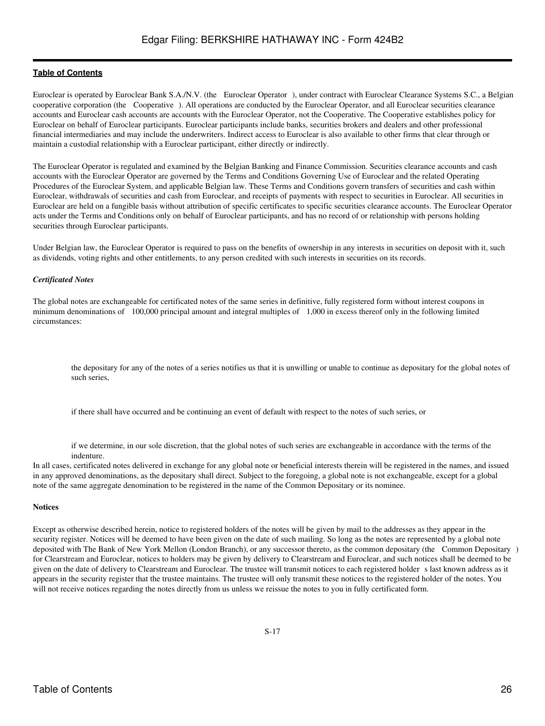Euroclear is operated by Euroclear Bank S.A./N.V. (the Euroclear Operator), under contract with Euroclear Clearance Systems S.C., a Belgian cooperative corporation (the Cooperative). All operations are conducted by the Euroclear Operator, and all Euroclear securities clearance accounts and Euroclear cash accounts are accounts with the Euroclear Operator, not the Cooperative. The Cooperative establishes policy for Euroclear on behalf of Euroclear participants. Euroclear participants include banks, securities brokers and dealers and other professional financial intermediaries and may include the underwriters. Indirect access to Euroclear is also available to other firms that clear through or maintain a custodial relationship with a Euroclear participant, either directly or indirectly.

The Euroclear Operator is regulated and examined by the Belgian Banking and Finance Commission. Securities clearance accounts and cash accounts with the Euroclear Operator are governed by the Terms and Conditions Governing Use of Euroclear and the related Operating Procedures of the Euroclear System, and applicable Belgian law. These Terms and Conditions govern transfers of securities and cash within Euroclear, withdrawals of securities and cash from Euroclear, and receipts of payments with respect to securities in Euroclear. All securities in Euroclear are held on a fungible basis without attribution of specific certificates to specific securities clearance accounts. The Euroclear Operator acts under the Terms and Conditions only on behalf of Euroclear participants, and has no record of or relationship with persons holding securities through Euroclear participants.

Under Belgian law, the Euroclear Operator is required to pass on the benefits of ownership in any interests in securities on deposit with it, such as dividends, voting rights and other entitlements, to any person credited with such interests in securities on its records.

#### *Certificated Notes*

The global notes are exchangeable for certificated notes of the same series in definitive, fully registered form without interest coupons in minimum denominations of 100,000 principal amount and integral multiples of 1,000 in excess thereof only in the following limited circumstances:

the depositary for any of the notes of a series notifies us that it is unwilling or unable to continue as depositary for the global notes of such series,

if there shall have occurred and be continuing an event of default with respect to the notes of such series, or

if we determine, in our sole discretion, that the global notes of such series are exchangeable in accordance with the terms of the indenture.

In all cases, certificated notes delivered in exchange for any global note or beneficial interests therein will be registered in the names, and issued in any approved denominations, as the depositary shall direct. Subject to the foregoing, a global note is not exchangeable, except for a global note of the same aggregate denomination to be registered in the name of the Common Depositary or its nominee.

#### **Notices**

Except as otherwise described herein, notice to registered holders of the notes will be given by mail to the addresses as they appear in the security register. Notices will be deemed to have been given on the date of such mailing. So long as the notes are represented by a global note deposited with The Bank of New York Mellon (London Branch), or any successor thereto, as the common depositary (the Common Depositary) for Clearstream and Euroclear, notices to holders may be given by delivery to Clearstream and Euroclear, and such notices shall be deemed to be given on the date of delivery to Clearstream and Euroclear. The trustee will transmit notices to each registered holders last known address as it appears in the security register that the trustee maintains. The trustee will only transmit these notices to the registered holder of the notes. You will not receive notices regarding the notes directly from us unless we reissue the notes to you in fully certificated form.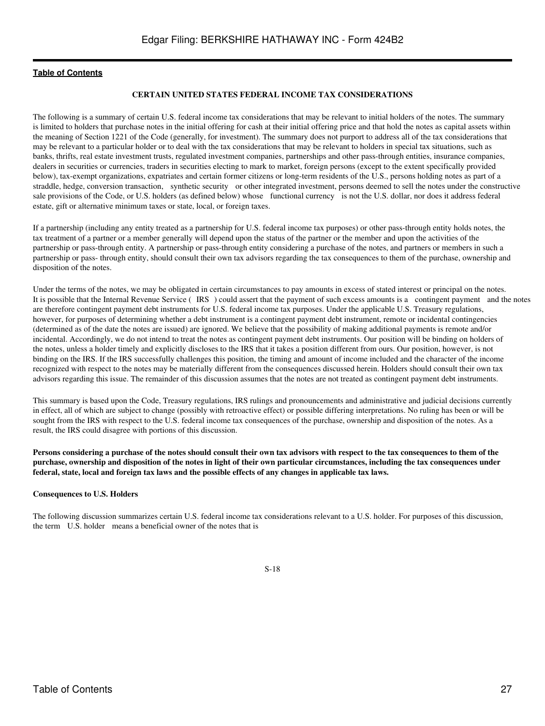#### **CERTAIN UNITED STATES FEDERAL INCOME TAX CONSIDERATIONS**

<span id="page-26-0"></span>The following is a summary of certain U.S. federal income tax considerations that may be relevant to initial holders of the notes. The summary is limited to holders that purchase notes in the initial offering for cash at their initial offering price and that hold the notes as capital assets within the meaning of Section 1221 of the Code (generally, for investment). The summary does not purport to address all of the tax considerations that may be relevant to a particular holder or to deal with the tax considerations that may be relevant to holders in special tax situations, such as banks, thrifts, real estate investment trusts, regulated investment companies, partnerships and other pass-through entities, insurance companies, dealers in securities or currencies, traders in securities electing to mark to market, foreign persons (except to the extent specifically provided below), tax-exempt organizations, expatriates and certain former citizens or long-term residents of the U.S., persons holding notes as part of a straddle, hedge, conversion transaction, synthetic security or other integrated investment, persons deemed to sell the notes under the constructive sale provisions of the Code, or U.S. holders (as defined below) whose functional currency is not the U.S. dollar, nor does it address federal estate, gift or alternative minimum taxes or state, local, or foreign taxes.

If a partnership (including any entity treated as a partnership for U.S. federal income tax purposes) or other pass-through entity holds notes, the tax treatment of a partner or a member generally will depend upon the status of the partner or the member and upon the activities of the partnership or pass-through entity. A partnership or pass-through entity considering a purchase of the notes, and partners or members in such a partnership or pass- through entity, should consult their own tax advisors regarding the tax consequences to them of the purchase, ownership and disposition of the notes.

Under the terms of the notes, we may be obligated in certain circumstances to pay amounts in excess of stated interest or principal on the notes. It is possible that the Internal Revenue Service (IRS) could assert that the payment of such excess amounts is a contingent payment and the notes are therefore contingent payment debt instruments for U.S. federal income tax purposes. Under the applicable U.S. Treasury regulations, however, for purposes of determining whether a debt instrument is a contingent payment debt instrument, remote or incidental contingencies (determined as of the date the notes are issued) are ignored. We believe that the possibility of making additional payments is remote and/or incidental. Accordingly, we do not intend to treat the notes as contingent payment debt instruments. Our position will be binding on holders of the notes, unless a holder timely and explicitly discloses to the IRS that it takes a position different from ours. Our position, however, is not binding on the IRS. If the IRS successfully challenges this position, the timing and amount of income included and the character of the income recognized with respect to the notes may be materially different from the consequences discussed herein. Holders should consult their own tax advisors regarding this issue. The remainder of this discussion assumes that the notes are not treated as contingent payment debt instruments.

This summary is based upon the Code, Treasury regulations, IRS rulings and pronouncements and administrative and judicial decisions currently in effect, all of which are subject to change (possibly with retroactive effect) or possible differing interpretations. No ruling has been or will be sought from the IRS with respect to the U.S. federal income tax consequences of the purchase, ownership and disposition of the notes. As a result, the IRS could disagree with portions of this discussion.

**Persons considering a purchase of the notes should consult their own tax advisors with respect to the tax consequences to them of the purchase, ownership and disposition of the notes in light of their own particular circumstances, including the tax consequences under federal, state, local and foreign tax laws and the possible effects of any changes in applicable tax laws.**

#### **Consequences to U.S. Holders**

The following discussion summarizes certain U.S. federal income tax considerations relevant to a U.S. holder. For purposes of this discussion, the term U.S. holder means a beneficial owner of the notes that is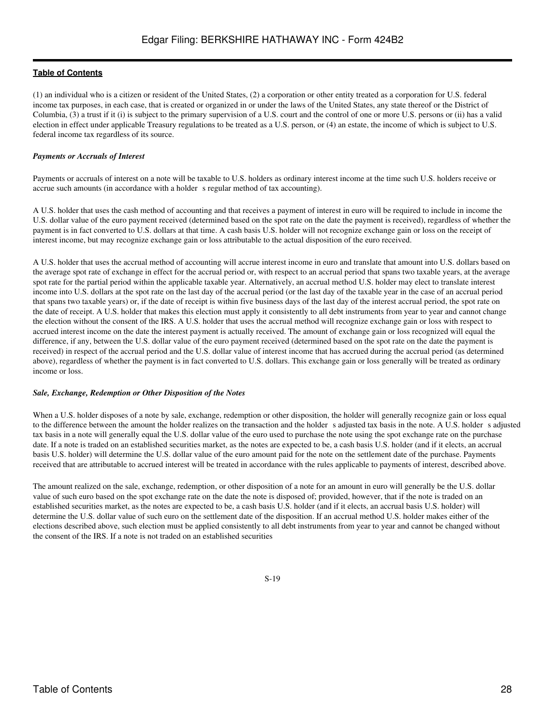(1) an individual who is a citizen or resident of the United States, (2) a corporation or other entity treated as a corporation for U.S. federal income tax purposes, in each case, that is created or organized in or under the laws of the United States, any state thereof or the District of Columbia, (3) a trust if it (i) is subject to the primary supervision of a U.S. court and the control of one or more U.S. persons or (ii) has a valid election in effect under applicable Treasury regulations to be treated as a U.S. person, or (4) an estate, the income of which is subject to U.S. federal income tax regardless of its source.

# *Payments or Accruals of Interest*

Payments or accruals of interest on a note will be taxable to U.S. holders as ordinary interest income at the time such U.S. holders receive or accrue such amounts (in accordance with a holder s regular method of tax accounting).

A U.S. holder that uses the cash method of accounting and that receives a payment of interest in euro will be required to include in income the U.S. dollar value of the euro payment received (determined based on the spot rate on the date the payment is received), regardless of whether the payment is in fact converted to U.S. dollars at that time. A cash basis U.S. holder will not recognize exchange gain or loss on the receipt of interest income, but may recognize exchange gain or loss attributable to the actual disposition of the euro received.

A U.S. holder that uses the accrual method of accounting will accrue interest income in euro and translate that amount into U.S. dollars based on the average spot rate of exchange in effect for the accrual period or, with respect to an accrual period that spans two taxable years, at the average spot rate for the partial period within the applicable taxable year. Alternatively, an accrual method U.S. holder may elect to translate interest income into U.S. dollars at the spot rate on the last day of the accrual period (or the last day of the taxable year in the case of an accrual period that spans two taxable years) or, if the date of receipt is within five business days of the last day of the interest accrual period, the spot rate on the date of receipt. A U.S. holder that makes this election must apply it consistently to all debt instruments from year to year and cannot change the election without the consent of the IRS. A U.S. holder that uses the accrual method will recognize exchange gain or loss with respect to accrued interest income on the date the interest payment is actually received. The amount of exchange gain or loss recognized will equal the difference, if any, between the U.S. dollar value of the euro payment received (determined based on the spot rate on the date the payment is received) in respect of the accrual period and the U.S. dollar value of interest income that has accrued during the accrual period (as determined above), regardless of whether the payment is in fact converted to U.S. dollars. This exchange gain or loss generally will be treated as ordinary income or loss.

### *Sale, Exchange, Redemption or Other Disposition of the Notes*

When a U.S. holder disposes of a note by sale, exchange, redemption or other disposition, the holder will generally recognize gain or loss equal to the difference between the amount the holder realizes on the transaction and the holder s adjusted tax basis in the note. A U.S. holder s adjusted tax basis in a note will generally equal the U.S. dollar value of the euro used to purchase the note using the spot exchange rate on the purchase date. If a note is traded on an established securities market, as the notes are expected to be, a cash basis U.S. holder (and if it elects, an accrual basis U.S. holder) will determine the U.S. dollar value of the euro amount paid for the note on the settlement date of the purchase. Payments received that are attributable to accrued interest will be treated in accordance with the rules applicable to payments of interest, described above.

The amount realized on the sale, exchange, redemption, or other disposition of a note for an amount in euro will generally be the U.S. dollar value of such euro based on the spot exchange rate on the date the note is disposed of; provided, however, that if the note is traded on an established securities market, as the notes are expected to be, a cash basis U.S. holder (and if it elects, an accrual basis U.S. holder) will determine the U.S. dollar value of such euro on the settlement date of the disposition. If an accrual method U.S. holder makes either of the elections described above, such election must be applied consistently to all debt instruments from year to year and cannot be changed without the consent of the IRS. If a note is not traded on an established securities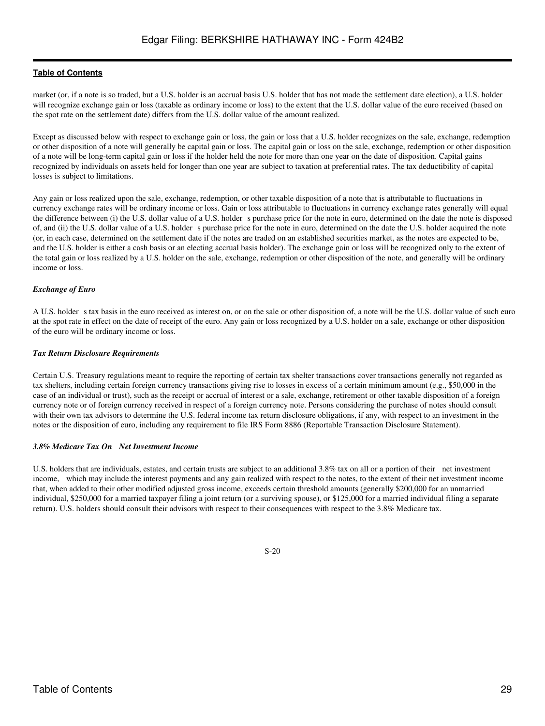market (or, if a note is so traded, but a U.S. holder is an accrual basis U.S. holder that has not made the settlement date election), a U.S. holder will recognize exchange gain or loss (taxable as ordinary income or loss) to the extent that the U.S. dollar value of the euro received (based on the spot rate on the settlement date) differs from the U.S. dollar value of the amount realized.

Except as discussed below with respect to exchange gain or loss, the gain or loss that a U.S. holder recognizes on the sale, exchange, redemption or other disposition of a note will generally be capital gain or loss. The capital gain or loss on the sale, exchange, redemption or other disposition of a note will be long-term capital gain or loss if the holder held the note for more than one year on the date of disposition. Capital gains recognized by individuals on assets held for longer than one year are subject to taxation at preferential rates. The tax deductibility of capital losses is subject to limitations.

Any gain or loss realized upon the sale, exchange, redemption, or other taxable disposition of a note that is attributable to fluctuations in currency exchange rates will be ordinary income or loss. Gain or loss attributable to fluctuations in currency exchange rates generally will equal the difference between (i) the U.S. dollar value of a U.S. holder s purchase price for the note in euro, determined on the date the note is disposed of, and (ii) the U.S. dollar value of a U.S. holder s purchase price for the note in euro, determined on the date the U.S. holder acquired the note (or, in each case, determined on the settlement date if the notes are traded on an established securities market, as the notes are expected to be, and the U.S. holder is either a cash basis or an electing accrual basis holder). The exchange gain or loss will be recognized only to the extent of the total gain or loss realized by a U.S. holder on the sale, exchange, redemption or other disposition of the note, and generally will be ordinary income or loss.

### *Exchange of Euro*

A U.S. holder s tax basis in the euro received as interest on, or on the sale or other disposition of, a note will be the U.S. dollar value of such euro at the spot rate in effect on the date of receipt of the euro. Any gain or loss recognized by a U.S. holder on a sale, exchange or other disposition of the euro will be ordinary income or loss.

#### *Tax Return Disclosure Requirements*

Certain U.S. Treasury regulations meant to require the reporting of certain tax shelter transactions cover transactions generally not regarded as tax shelters, including certain foreign currency transactions giving rise to losses in excess of a certain minimum amount (e.g., \$50,000 in the case of an individual or trust), such as the receipt or accrual of interest or a sale, exchange, retirement or other taxable disposition of a foreign currency note or of foreign currency received in respect of a foreign currency note. Persons considering the purchase of notes should consult with their own tax advisors to determine the U.S. federal income tax return disclosure obligations, if any, with respect to an investment in the notes or the disposition of euro, including any requirement to file IRS Form 8886 (Reportable Transaction Disclosure Statement).

#### *3.8% Medicare Tax On Net Investment Income*

U.S. holders that are individuals, estates, and certain trusts are subject to an additional 3.8% tax on all or a portion of their net investment income, which may include the interest payments and any gain realized with respect to the notes, to the extent of their net investment income that, when added to their other modified adjusted gross income, exceeds certain threshold amounts (generally \$200,000 for an unmarried individual, \$250,000 for a married taxpayer filing a joint return (or a surviving spouse), or \$125,000 for a married individual filing a separate return). U.S. holders should consult their advisors with respect to their consequences with respect to the 3.8% Medicare tax.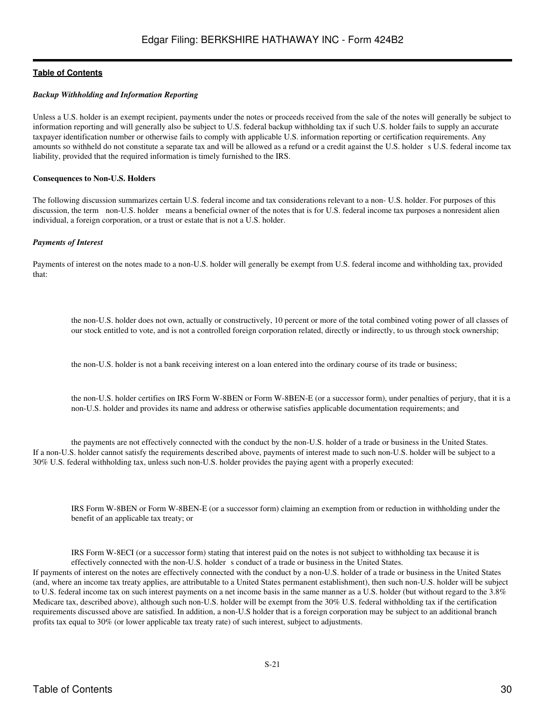#### *Backup Withholding and Information Reporting*

Unless a U.S. holder is an exempt recipient, payments under the notes or proceeds received from the sale of the notes will generally be subject to information reporting and will generally also be subject to U.S. federal backup withholding tax if such U.S. holder fails to supply an accurate taxpayer identification number or otherwise fails to comply with applicable U.S. information reporting or certification requirements. Any amounts so withheld do not constitute a separate tax and will be allowed as a refund or a credit against the U.S. holder s U.S. federal income tax liability, provided that the required information is timely furnished to the IRS.

#### **Consequences to Non-U.S. Holders**

The following discussion summarizes certain U.S. federal income and tax considerations relevant to a non- U.S. holder. For purposes of this discussion, the term non-U.S. holder means a beneficial owner of the notes that is for U.S. federal income tax purposes a nonresident alien individual, a foreign corporation, or a trust or estate that is not a U.S. holder.

#### *Payments of Interest*

Payments of interest on the notes made to a non-U.S. holder will generally be exempt from U.S. federal income and withholding tax, provided that:

the non-U.S. holder does not own, actually or constructively, 10 percent or more of the total combined voting power of all classes of our stock entitled to vote, and is not a controlled foreign corporation related, directly or indirectly, to us through stock ownership;

the non-U.S. holder is not a bank receiving interest on a loan entered into the ordinary course of its trade or business;

the non-U.S. holder certifies on IRS Form W-8BEN or Form W-8BEN-E (or a successor form), under penalties of perjury, that it is a non-U.S. holder and provides its name and address or otherwise satisfies applicable documentation requirements; and

the payments are not effectively connected with the conduct by the non-U.S. holder of a trade or business in the United States. If a non-U.S. holder cannot satisfy the requirements described above, payments of interest made to such non-U.S. holder will be subject to a 30% U.S. federal withholding tax, unless such non-U.S. holder provides the paying agent with a properly executed:

IRS Form W-8BEN or Form W-8BEN-E (or a successor form) claiming an exemption from or reduction in withholding under the benefit of an applicable tax treaty; or

IRS Form W-8ECI (or a successor form) stating that interest paid on the notes is not subject to withholding tax because it is effectively connected with the non-U.S. holder s conduct of a trade or business in the United States.

If payments of interest on the notes are effectively connected with the conduct by a non-U.S. holder of a trade or business in the United States (and, where an income tax treaty applies, are attributable to a United States permanent establishment), then such non-U.S. holder will be subject to U.S. federal income tax on such interest payments on a net income basis in the same manner as a U.S. holder (but without regard to the 3.8% Medicare tax, described above), although such non-U.S. holder will be exempt from the 30% U.S. federal withholding tax if the certification requirements discussed above are satisfied. In addition, a non-U.S holder that is a foreign corporation may be subject to an additional branch profits tax equal to 30% (or lower applicable tax treaty rate) of such interest, subject to adjustments.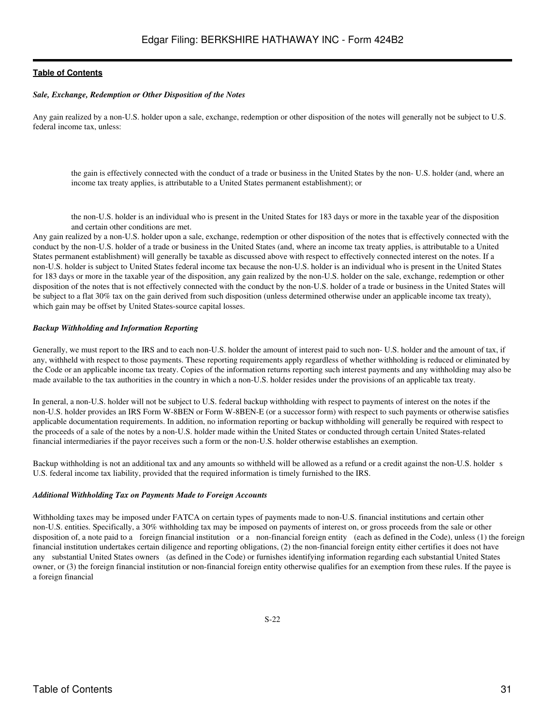#### *Sale, Exchange, Redemption or Other Disposition of the Notes*

Any gain realized by a non-U.S. holder upon a sale, exchange, redemption or other disposition of the notes will generally not be subject to U.S. federal income tax, unless:

the gain is effectively connected with the conduct of a trade or business in the United States by the non- U.S. holder (and, where an income tax treaty applies, is attributable to a United States permanent establishment); or

the non-U.S. holder is an individual who is present in the United States for 183 days or more in the taxable year of the disposition and certain other conditions are met.

Any gain realized by a non-U.S. holder upon a sale, exchange, redemption or other disposition of the notes that is effectively connected with the conduct by the non-U.S. holder of a trade or business in the United States (and, where an income tax treaty applies, is attributable to a United States permanent establishment) will generally be taxable as discussed above with respect to effectively connected interest on the notes. If a non-U.S. holder is subject to United States federal income tax because the non-U.S. holder is an individual who is present in the United States for 183 days or more in the taxable year of the disposition, any gain realized by the non-U.S. holder on the sale, exchange, redemption or other disposition of the notes that is not effectively connected with the conduct by the non-U.S. holder of a trade or business in the United States will be subject to a flat 30% tax on the gain derived from such disposition (unless determined otherwise under an applicable income tax treaty), which gain may be offset by United States-source capital losses.

#### *Backup Withholding and Information Reporting*

Generally, we must report to the IRS and to each non-U.S. holder the amount of interest paid to such non- U.S. holder and the amount of tax, if any, withheld with respect to those payments. These reporting requirements apply regardless of whether withholding is reduced or eliminated by the Code or an applicable income tax treaty. Copies of the information returns reporting such interest payments and any withholding may also be made available to the tax authorities in the country in which a non-U.S. holder resides under the provisions of an applicable tax treaty.

In general, a non-U.S. holder will not be subject to U.S. federal backup withholding with respect to payments of interest on the notes if the non-U.S. holder provides an IRS Form W-8BEN or Form W-8BEN-E (or a successor form) with respect to such payments or otherwise satisfies applicable documentation requirements. In addition, no information reporting or backup withholding will generally be required with respect to the proceeds of a sale of the notes by a non-U.S. holder made within the United States or conducted through certain United States-related financial intermediaries if the payor receives such a form or the non-U.S. holder otherwise establishes an exemption.

Backup withholding is not an additional tax and any amounts so withheld will be allowed as a refund or a credit against the non-U.S. holder s U.S. federal income tax liability, provided that the required information is timely furnished to the IRS.

#### *Additional Withholding Tax on Payments Made to Foreign Accounts*

Withholding taxes may be imposed under FATCA on certain types of payments made to non-U.S. financial institutions and certain other non-U.S. entities. Specifically, a 30% withholding tax may be imposed on payments of interest on, or gross proceeds from the sale or other disposition of, a note paid to a foreign financial institution or a non-financial foreign entity (each as defined in the Code), unless (1) the foreign financial institution undertakes certain diligence and reporting obligations, (2) the non-financial foreign entity either certifies it does not have any substantial United States owners (as defined in the Code) or furnishes identifying information regarding each substantial United States owner, or (3) the foreign financial institution or non-financial foreign entity otherwise qualifies for an exemption from these rules. If the payee is a foreign financial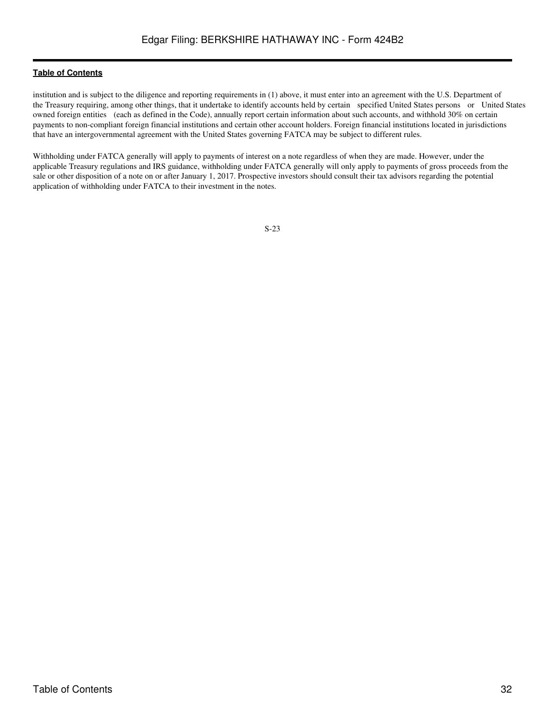institution and is subject to the diligence and reporting requirements in (1) above, it must enter into an agreement with the U.S. Department of the Treasury requiring, among other things, that it undertake to identify accounts held by certain specified United States persons or United States owned foreign entities (each as defined in the Code), annually report certain information about such accounts, and withhold 30% on certain payments to non-compliant foreign financial institutions and certain other account holders. Foreign financial institutions located in jurisdictions that have an intergovernmental agreement with the United States governing FATCA may be subject to different rules.

Withholding under FATCA generally will apply to payments of interest on a note regardless of when they are made. However, under the applicable Treasury regulations and IRS guidance, withholding under FATCA generally will only apply to payments of gross proceeds from the sale or other disposition of a note on or after January 1, 2017. Prospective investors should consult their tax advisors regarding the potential application of withholding under FATCA to their investment in the notes.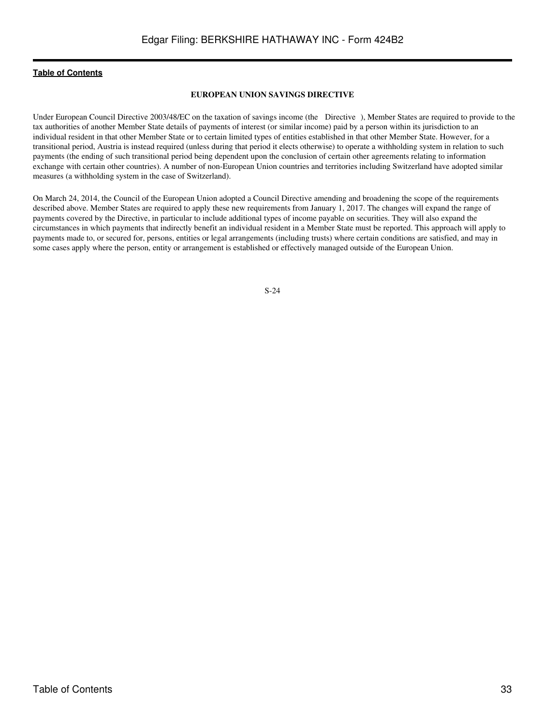### **EUROPEAN UNION SAVINGS DIRECTIVE**

<span id="page-32-0"></span>Under European Council Directive 2003/48/EC on the taxation of savings income (the Directive), Member States are required to provide to the tax authorities of another Member State details of payments of interest (or similar income) paid by a person within its jurisdiction to an individual resident in that other Member State or to certain limited types of entities established in that other Member State. However, for a transitional period, Austria is instead required (unless during that period it elects otherwise) to operate a withholding system in relation to such payments (the ending of such transitional period being dependent upon the conclusion of certain other agreements relating to information exchange with certain other countries). A number of non-European Union countries and territories including Switzerland have adopted similar measures (a withholding system in the case of Switzerland).

On March 24, 2014, the Council of the European Union adopted a Council Directive amending and broadening the scope of the requirements described above. Member States are required to apply these new requirements from January 1, 2017. The changes will expand the range of payments covered by the Directive, in particular to include additional types of income payable on securities. They will also expand the circumstances in which payments that indirectly benefit an individual resident in a Member State must be reported. This approach will apply to payments made to, or secured for, persons, entities or legal arrangements (including trusts) where certain conditions are satisfied, and may in some cases apply where the person, entity or arrangement is established or effectively managed outside of the European Union.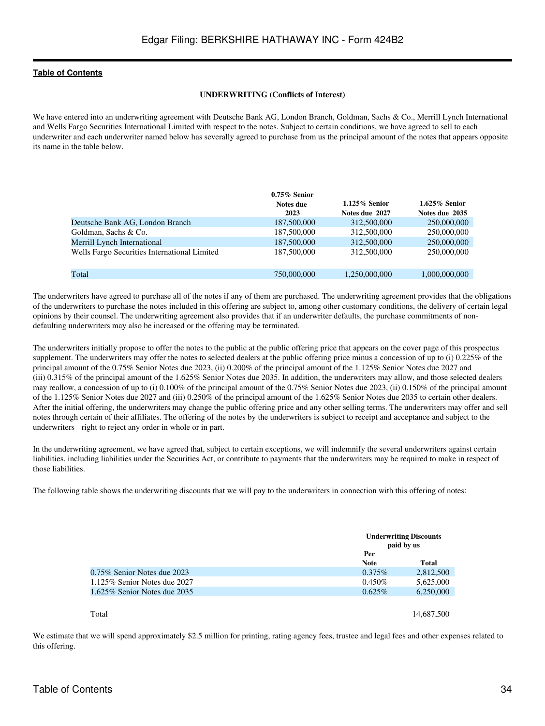#### **UNDERWRITING (Conflicts of Interest)**

<span id="page-33-0"></span>We have entered into an underwriting agreement with Deutsche Bank AG, London Branch, Goldman, Sachs & Co., Merrill Lynch International and Wells Fargo Securities International Limited with respect to the notes. Subject to certain conditions, we have agreed to sell to each underwriter and each underwriter named below has severally agreed to purchase from us the principal amount of the notes that appears opposite its name in the table below.

|                                              | $0.75\%$ Senior |                  |                  |
|----------------------------------------------|-----------------|------------------|------------------|
|                                              | Notes due       | $1.125\%$ Senior | $1.625\%$ Senior |
|                                              | 2023            | Notes due 2027   | Notes due 2035   |
| Deutsche Bank AG, London Branch              | 187,500,000     | 312,500,000      | 250,000,000      |
| Goldman, Sachs & Co.                         | 187,500,000     | 312,500,000      | 250,000,000      |
| Merrill Lynch International                  | 187,500,000     | 312,500,000      | 250,000,000      |
| Wells Fargo Securities International Limited | 187,500,000     | 312,500,000      | 250,000,000      |
| Total                                        | 750,000,000     | 1,250,000,000    | 1,000,000,000    |

The underwriters have agreed to purchase all of the notes if any of them are purchased. The underwriting agreement provides that the obligations of the underwriters to purchase the notes included in this offering are subject to, among other customary conditions, the delivery of certain legal opinions by their counsel. The underwriting agreement also provides that if an underwriter defaults, the purchase commitments of nondefaulting underwriters may also be increased or the offering may be terminated.

The underwriters initially propose to offer the notes to the public at the public offering price that appears on the cover page of this prospectus supplement. The underwriters may offer the notes to selected dealers at the public offering price minus a concession of up to (i) 0.225% of the principal amount of the 0.75% Senior Notes due 2023, (ii) 0.200% of the principal amount of the 1.125% Senior Notes due 2027 and (iii) 0.315% of the principal amount of the 1.625% Senior Notes due 2035. In addition, the underwriters may allow, and those selected dealers may reallow, a concession of up to (i) 0.100% of the principal amount of the 0.75% Senior Notes due 2023, (ii) 0.150% of the principal amount of the 1.125% Senior Notes due 2027 and (iii) 0.250% of the principal amount of the 1.625% Senior Notes due 2035 to certain other dealers. After the initial offering, the underwriters may change the public offering price and any other selling terms. The underwriters may offer and sell notes through certain of their affiliates. The offering of the notes by the underwriters is subject to receipt and acceptance and subject to the underwriters right to reject any order in whole or in part.

In the underwriting agreement, we have agreed that, subject to certain exceptions, we will indemnify the several underwriters against certain liabilities, including liabilities under the Securities Act, or contribute to payments that the underwriters may be required to make in respect of those liabilities.

The following table shows the underwriting discounts that we will pay to the underwriters in connection with this offering of notes:

|                                |                    | <b>Underwriting Discounts</b><br>paid by us |  |
|--------------------------------|--------------------|---------------------------------------------|--|
|                                | Per<br><b>Note</b> | <b>Total</b>                                |  |
| $0.75\%$ Senior Notes due 2023 | $0.375\%$          | 2,812,500                                   |  |
| 1.125% Senior Notes due 2027   | $0.450\%$          | 5,625,000                                   |  |
| 1.625% Senior Notes due 2035   | $0.625\%$          | 6,250,000                                   |  |
|                                |                    |                                             |  |

#### Total and the state of the state of the state of the state of the state of the state of the state of the state of the state of the state of the state of the state of the state of the state of the state of the state of the

We estimate that we will spend approximately \$2.5 million for printing, rating agency fees, trustee and legal fees and other expenses related to this offering.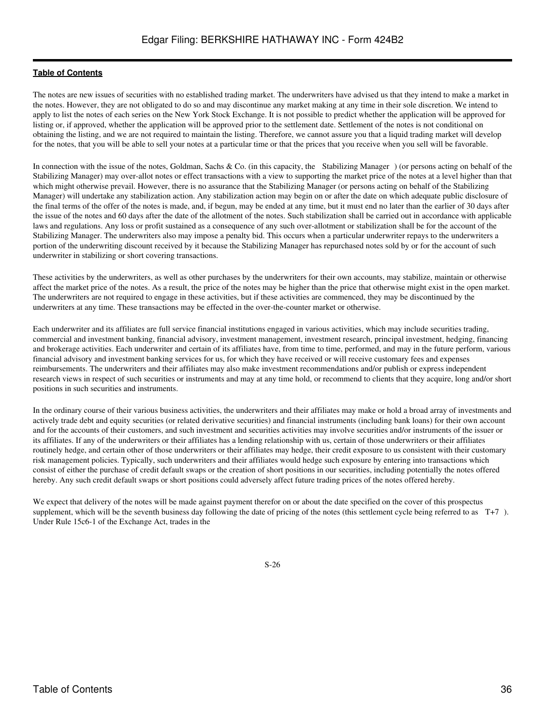The notes are new issues of securities with no established trading market. The underwriters have advised us that they intend to make a market in the notes. However, they are not obligated to do so and may discontinue any market making at any time in their sole discretion. We intend to apply to list the notes of each series on the New York Stock Exchange. It is not possible to predict whether the application will be approved for listing or, if approved, whether the application will be approved prior to the settlement date. Settlement of the notes is not conditional on obtaining the listing, and we are not required to maintain the listing. Therefore, we cannot assure you that a liquid trading market will develop for the notes, that you will be able to sell your notes at a particular time or that the prices that you receive when you sell will be favorable.

In connection with the issue of the notes, Goldman, Sachs & Co. (in this capacity, the Stabilizing Manager) (or persons acting on behalf of the Stabilizing Manager) may over-allot notes or effect transactions with a view to supporting the market price of the notes at a level higher than that which might otherwise prevail. However, there is no assurance that the Stabilizing Manager (or persons acting on behalf of the Stabilizing Manager) will undertake any stabilization action. Any stabilization action may begin on or after the date on which adequate public disclosure of the final terms of the offer of the notes is made, and, if begun, may be ended at any time, but it must end no later than the earlier of 30 days after the issue of the notes and 60 days after the date of the allotment of the notes. Such stabilization shall be carried out in accordance with applicable laws and regulations. Any loss or profit sustained as a consequence of any such over-allotment or stabilization shall be for the account of the Stabilizing Manager. The underwriters also may impose a penalty bid. This occurs when a particular underwriter repays to the underwriters a portion of the underwriting discount received by it because the Stabilizing Manager has repurchased notes sold by or for the account of such underwriter in stabilizing or short covering transactions.

These activities by the underwriters, as well as other purchases by the underwriters for their own accounts, may stabilize, maintain or otherwise affect the market price of the notes. As a result, the price of the notes may be higher than the price that otherwise might exist in the open market. The underwriters are not required to engage in these activities, but if these activities are commenced, they may be discontinued by the underwriters at any time. These transactions may be effected in the over-the-counter market or otherwise.

Each underwriter and its affiliates are full service financial institutions engaged in various activities, which may include securities trading, commercial and investment banking, financial advisory, investment management, investment research, principal investment, hedging, financing and brokerage activities. Each underwriter and certain of its affiliates have, from time to time, performed, and may in the future perform, various financial advisory and investment banking services for us, for which they have received or will receive customary fees and expenses reimbursements. The underwriters and their affiliates may also make investment recommendations and/or publish or express independent research views in respect of such securities or instruments and may at any time hold, or recommend to clients that they acquire, long and/or short positions in such securities and instruments.

In the ordinary course of their various business activities, the underwriters and their affiliates may make or hold a broad array of investments and actively trade debt and equity securities (or related derivative securities) and financial instruments (including bank loans) for their own account and for the accounts of their customers, and such investment and securities activities may involve securities and/or instruments of the issuer or its affiliates. If any of the underwriters or their affiliates has a lending relationship with us, certain of those underwriters or their affiliates routinely hedge, and certain other of those underwriters or their affiliates may hedge, their credit exposure to us consistent with their customary risk management policies. Typically, such underwriters and their affiliates would hedge such exposure by entering into transactions which consist of either the purchase of credit default swaps or the creation of short positions in our securities, including potentially the notes offered hereby. Any such credit default swaps or short positions could adversely affect future trading prices of the notes offered hereby.

We expect that delivery of the notes will be made against payment therefor on or about the date specified on the cover of this prospectus supplement, which will be the seventh business day following the date of pricing of the notes (this settlement cycle being referred to as T+7). Under Rule 15c6-1 of the Exchange Act, trades in the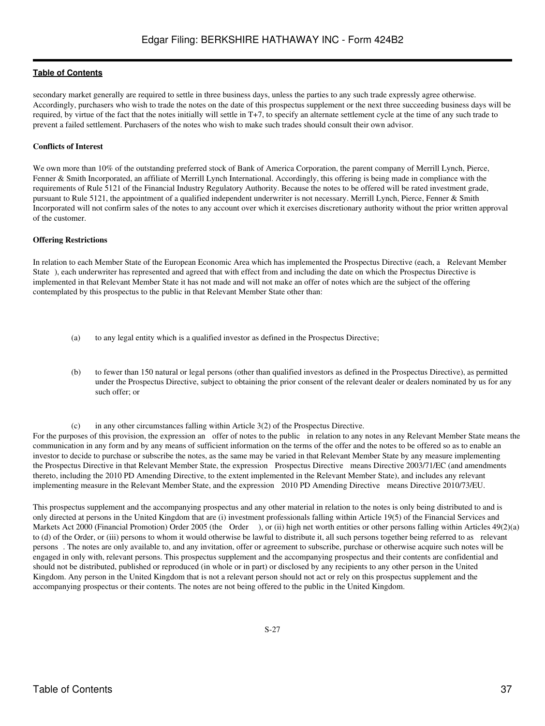secondary market generally are required to settle in three business days, unless the parties to any such trade expressly agree otherwise. Accordingly, purchasers who wish to trade the notes on the date of this prospectus supplement or the next three succeeding business days will be required, by virtue of the fact that the notes initially will settle in T+7, to specify an alternate settlement cycle at the time of any such trade to prevent a failed settlement. Purchasers of the notes who wish to make such trades should consult their own advisor.

# **Conflicts of Interest**

We own more than 10% of the outstanding preferred stock of Bank of America Corporation, the parent company of Merrill Lynch, Pierce, Fenner & Smith Incorporated, an affiliate of Merrill Lynch International. Accordingly, this offering is being made in compliance with the requirements of Rule 5121 of the Financial Industry Regulatory Authority. Because the notes to be offered will be rated investment grade, pursuant to Rule 5121, the appointment of a qualified independent underwriter is not necessary. Merrill Lynch, Pierce, Fenner & Smith Incorporated will not confirm sales of the notes to any account over which it exercises discretionary authority without the prior written approval of the customer.

### **Offering Restrictions**

In relation to each Member State of the European Economic Area which has implemented the Prospectus Directive (each, a Relevant Member State), each underwriter has represented and agreed that with effect from and including the date on which the Prospectus Directive is implemented in that Relevant Member State it has not made and will not make an offer of notes which are the subject of the offering contemplated by this prospectus to the public in that Relevant Member State other than:

- (a) to any legal entity which is a qualified investor as defined in the Prospectus Directive;
- (b) to fewer than 150 natural or legal persons (other than qualified investors as defined in the Prospectus Directive), as permitted under the Prospectus Directive, subject to obtaining the prior consent of the relevant dealer or dealers nominated by us for any such offer; or

(c) in any other circumstances falling within Article 3(2) of the Prospectus Directive.

For the purposes of this provision, the expression an offer of notes to the public in relation to any notes in any Relevant Member State means the communication in any form and by any means of sufficient information on the terms of the offer and the notes to be offered so as to enable an investor to decide to purchase or subscribe the notes, as the same may be varied in that Relevant Member State by any measure implementing the Prospectus Directive in that Relevant Member State, the expression Prospectus Directive means Directive 2003/71/EC (and amendments thereto, including the 2010 PD Amending Directive, to the extent implemented in the Relevant Member State), and includes any relevant implementing measure in the Relevant Member State, and the expression 2010 PD Amending Directive means Directive 2010/73/EU.

This prospectus supplement and the accompanying prospectus and any other material in relation to the notes is only being distributed to and is only directed at persons in the United Kingdom that are (i) investment professionals falling within Article 19(5) of the Financial Services and Markets Act 2000 (Financial Promotion) Order 2005 (the Order), or (ii) high net worth entities or other persons falling within Articles 49(2)(a) to (d) of the Order, or (iii) persons to whom it would otherwise be lawful to distribute it, all such persons together being referred to as relevant persons. The notes are only available to, and any invitation, offer or agreement to subscribe, purchase or otherwise acquire such notes will be engaged in only with, relevant persons. This prospectus supplement and the accompanying prospectus and their contents are confidential and should not be distributed, published or reproduced (in whole or in part) or disclosed by any recipients to any other person in the United Kingdom. Any person in the United Kingdom that is not a relevant person should not act or rely on this prospectus supplement and the accompanying prospectus or their contents. The notes are not being offered to the public in the United Kingdom.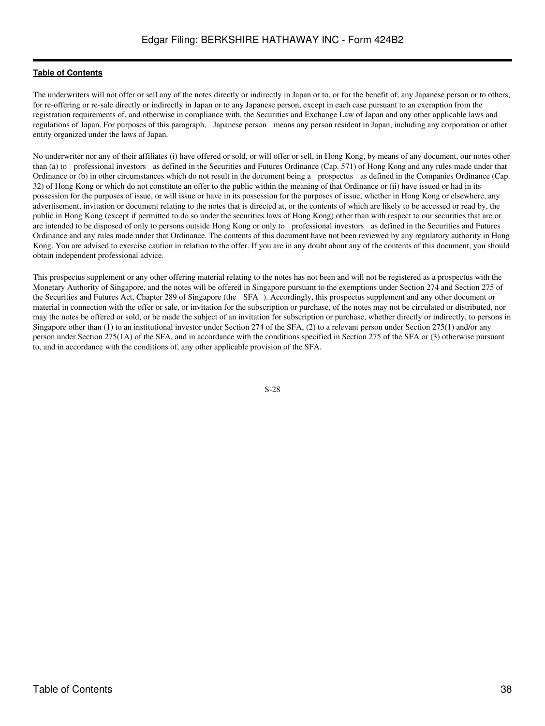The underwriters will not offer or sell any of the notes directly or indirectly in Japan or to, or for the benefit of, any Japanese person or to others, for re-offering or re-sale directly or indirectly in Japan or to any Japanese person, except in each case pursuant to an exemption from the registration requirements of, and otherwise in compliance with, the Securities and Exchange Law of Japan and any other applicable laws and regulations of Japan. For purposes of this paragraph, Japanese person means any person resident in Japan, including any corporation or other entity organized under the laws of Japan.

No underwriter nor any of their affiliates (i) have offered or sold, or will offer or sell, in Hong Kong, by means of any document, our notes other than (a) to professional investors as defined in the Securities and Futures Ordinance (Cap. 571) of Hong Kong and any rules made under that Ordinance or (b) in other circumstances which do not result in the document being a prospectus as defined in the Companies Ordinance (Cap. 32) of Hong Kong or which do not constitute an offer to the public within the meaning of that Ordinance or (ii) have issued or had in its possession for the purposes of issue, or will issue or have in its possession for the purposes of issue, whether in Hong Kong or elsewhere, any advertisement, invitation or document relating to the notes that is directed at, or the contents of which are likely to be accessed or read by, the public in Hong Kong (except if permitted to do so under the securities laws of Hong Kong) other than with respect to our securities that are or are intended to be disposed of only to persons outside Hong Kong or only to professional investors as defined in the Securities and Futures Ordinance and any rules made under that Ordinance. The contents of this document have not been reviewed by any regulatory authority in Hong Kong. You are advised to exercise caution in relation to the offer. If you are in any doubt about any of the contents of this document, you should obtain independent professional advice.

This prospectus supplement or any other offering material relating to the notes has not been and will not be registered as a prospectus with the Monetary Authority of Singapore, and the notes will be offered in Singapore pursuant to the exemptions under Section 274 and Section 275 of the Securities and Futures Act, Chapter 289 of Singapore (the SFA). Accordingly, this prospectus supplement and any other document or material in connection with the offer or sale, or invitation for the subscription or purchase, of the notes may not be circulated or distributed, nor may the notes be offered or sold, or be made the subject of an invitation for subscription or purchase, whether directly or indirectly, to persons in Singapore other than (1) to an institutional investor under Section 274 of the SFA, (2) to a relevant person under Section 275(1) and/or any person under Section 275(1A) of the SFA, and in accordance with the conditions specified in Section 275 of the SFA or (3) otherwise pursuant to, and in accordance with the conditions of, any other applicable provision of the SFA.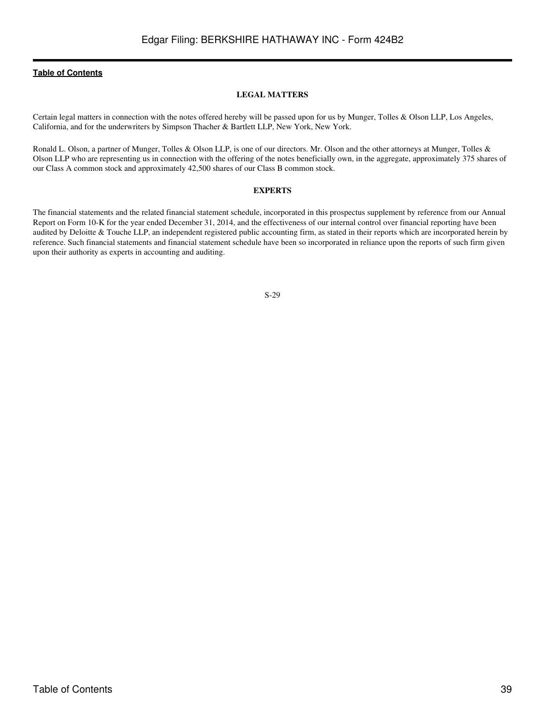#### **LEGAL MATTERS**

<span id="page-38-0"></span>Certain legal matters in connection with the notes offered hereby will be passed upon for us by Munger, Tolles & Olson LLP, Los Angeles, California, and for the underwriters by Simpson Thacher & Bartlett LLP, New York, New York.

Ronald L. Olson, a partner of Munger, Tolles & Olson LLP, is one of our directors. Mr. Olson and the other attorneys at Munger, Tolles & Olson LLP who are representing us in connection with the offering of the notes beneficially own, in the aggregate, approximately 375 shares of our Class A common stock and approximately 42,500 shares of our Class B common stock.

#### **EXPERTS**

<span id="page-38-1"></span>The financial statements and the related financial statement schedule, incorporated in this prospectus supplement by reference from our Annual Report on Form 10-K for the year ended December 31, 2014, and the effectiveness of our internal control over financial reporting have been audited by Deloitte & Touche LLP, an independent registered public accounting firm, as stated in their reports which are incorporated herein by reference. Such financial statements and financial statement schedule have been so incorporated in reliance upon the reports of such firm given upon their authority as experts in accounting and auditing.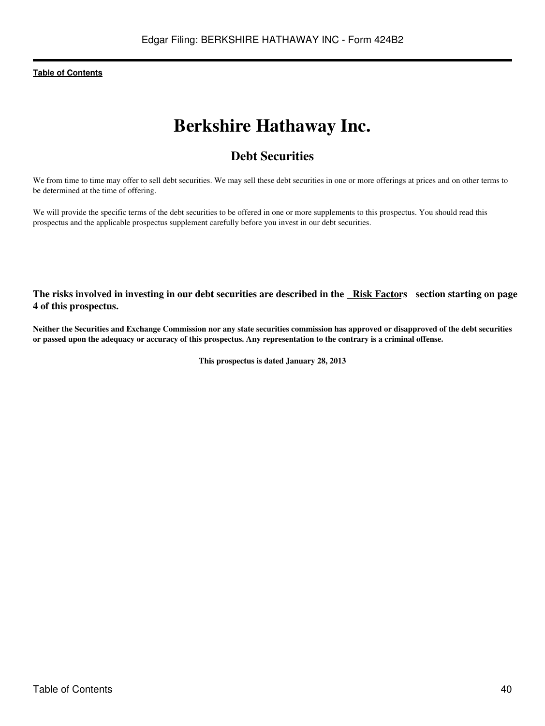# **Berkshire Hathaway Inc.**

# **Debt Securities**

We from time to time may offer to sell debt securities. We may sell these debt securities in one or more offerings at prices and on other terms to be determined at the time of offering.

We will provide the specific terms of the debt securities to be offered in one or more supplements to this prospectus. You should read this prospectus and the applicable prospectus supplement carefully before you invest in our debt securities.

**The risks involved in investing in our debt securities are described in the [Risk Factor](#page-45-0)s section starting on page 4 of this prospectus.**

**Neither the Securities and Exchange Commission nor any state securities commission has approved or disapproved of the debt securities or passed upon the adequacy or accuracy of this prospectus. Any representation to the contrary is a criminal offense.**

**This prospectus is dated January 28, 2013**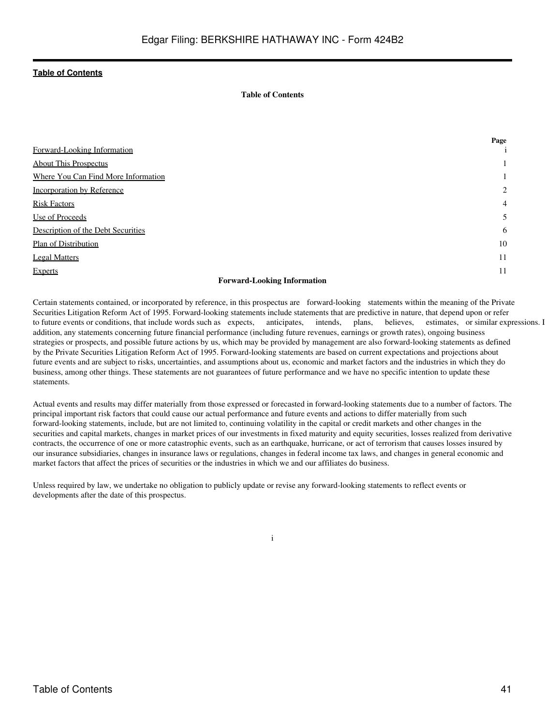## **Table of Contents**

|                                     | Page           |
|-------------------------------------|----------------|
| Forward-Looking Information         |                |
| <b>About This Prospectus</b>        | 1              |
| Where You Can Find More Information |                |
| Incorporation by Reference          | $\overline{c}$ |
| <b>Risk Factors</b>                 | $\overline{4}$ |
| Use of Proceeds                     | 5              |
| Description of the Debt Securities  | 6              |
| Plan of Distribution                | 10             |
| <b>Legal Matters</b>                | 11             |
| <b>Experts</b>                      | 11             |
| $\sim$                              |                |

#### **Forward-Looking Information**

<span id="page-40-0"></span>Certain statements contained, or incorporated by reference, in this prospectus are forward-looking statements within the meaning of the Private Securities Litigation Reform Act of 1995. Forward-looking statements include statements that are predictive in nature, that depend upon or refer to future events or conditions, that include words such as expects, anticipates, intends, plans, believes, estimates, or similar expressions. In addition, any statements concerning future financial performance (including future revenues, earnings or growth rates), ongoing business strategies or prospects, and possible future actions by us, which may be provided by management are also forward-looking statements as defined by the Private Securities Litigation Reform Act of 1995. Forward-looking statements are based on current expectations and projections about future events and are subject to risks, uncertainties, and assumptions about us, economic and market factors and the industries in which they do business, among other things. These statements are not guarantees of future performance and we have no specific intention to update these statements.

Actual events and results may differ materially from those expressed or forecasted in forward-looking statements due to a number of factors. The principal important risk factors that could cause our actual performance and future events and actions to differ materially from such forward-looking statements, include, but are not limited to, continuing volatility in the capital or credit markets and other changes in the securities and capital markets, changes in market prices of our investments in fixed maturity and equity securities, losses realized from derivative contracts, the occurrence of one or more catastrophic events, such as an earthquake, hurricane, or act of terrorism that causes losses insured by our insurance subsidiaries, changes in insurance laws or regulations, changes in federal income tax laws, and changes in general economic and market factors that affect the prices of securities or the industries in which we and our affiliates do business.

Unless required by law, we undertake no obligation to publicly update or revise any forward-looking statements to reflect events or developments after the date of this prospectus.

i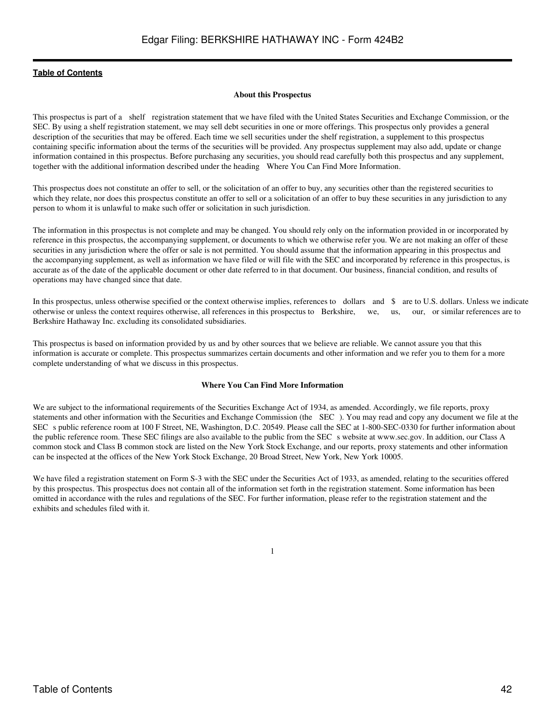#### **About this Prospectus**

<span id="page-41-0"></span>This prospectus is part of a shelf registration statement that we have filed with the United States Securities and Exchange Commission, or the SEC. By using a shelf registration statement, we may sell debt securities in one or more offerings. This prospectus only provides a general description of the securities that may be offered. Each time we sell securities under the shelf registration, a supplement to this prospectus containing specific information about the terms of the securities will be provided. Any prospectus supplement may also add, update or change information contained in this prospectus. Before purchasing any securities, you should read carefully both this prospectus and any supplement, together with the additional information described under the heading Where You Can Find More Information.

This prospectus does not constitute an offer to sell, or the solicitation of an offer to buy, any securities other than the registered securities to which they relate, nor does this prospectus constitute an offer to sell or a solicitation of an offer to buy these securities in any jurisdiction to any person to whom it is unlawful to make such offer or solicitation in such jurisdiction.

The information in this prospectus is not complete and may be changed. You should rely only on the information provided in or incorporated by reference in this prospectus, the accompanying supplement, or documents to which we otherwise refer you. We are not making an offer of these securities in any jurisdiction where the offer or sale is not permitted. You should assume that the information appearing in this prospectus and the accompanying supplement, as well as information we have filed or will file with the SEC and incorporated by reference in this prospectus, is accurate as of the date of the applicable document or other date referred to in that document. Our business, financial condition, and results of operations may have changed since that date.

In this prospectus, unless otherwise specified or the context otherwise implies, references to dollars and \$ are to U.S. dollars. Unless we indicate otherwise or unless the context requires otherwise, all references in this prospectus to Berkshire, we, us, our, or similar references are to Berkshire Hathaway Inc. excluding its consolidated subsidiaries.

This prospectus is based on information provided by us and by other sources that we believe are reliable. We cannot assure you that this information is accurate or complete. This prospectus summarizes certain documents and other information and we refer you to them for a more complete understanding of what we discuss in this prospectus.

### **Where You Can Find More Information**

<span id="page-41-1"></span>We are subject to the informational requirements of the Securities Exchange Act of 1934, as amended. Accordingly, we file reports, proxy statements and other information with the Securities and Exchange Commission (the SEC). You may read and copy any document we file at the SEC s public reference room at 100 F Street, NE, Washington, D.C. 20549. Please call the SEC at 1-800-SEC-0330 for further information about the public reference room. These SEC filings are also available to the public from the SEC s website at www.sec.gov. In addition, our Class A common stock and Class B common stock are listed on the New York Stock Exchange, and our reports, proxy statements and other information can be inspected at the offices of the New York Stock Exchange, 20 Broad Street, New York, New York 10005.

We have filed a registration statement on Form S-3 with the SEC under the Securities Act of 1933, as amended, relating to the securities offered by this prospectus. This prospectus does not contain all of the information set forth in the registration statement. Some information has been omitted in accordance with the rules and regulations of the SEC. For further information, please refer to the registration statement and the exhibits and schedules filed with it.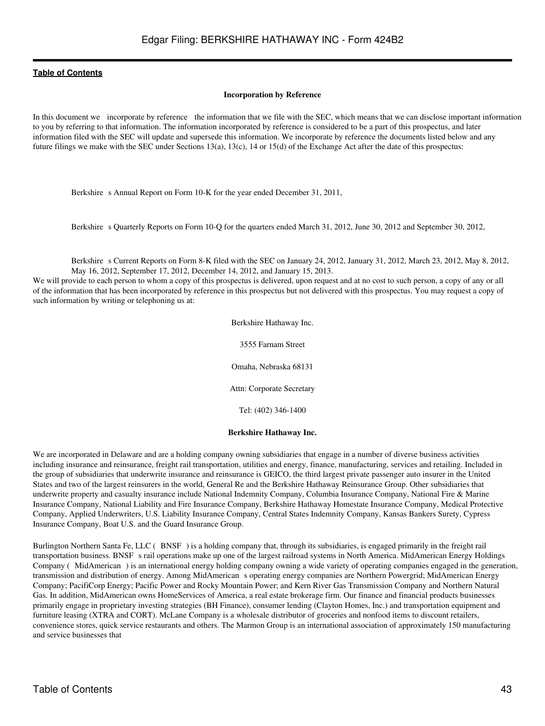#### **Incorporation by Reference**

<span id="page-42-0"></span>In this document we incorporate by reference the information that we file with the SEC, which means that we can disclose important information to you by referring to that information. The information incorporated by reference is considered to be a part of this prospectus, and later information filed with the SEC will update and supersede this information. We incorporate by reference the documents listed below and any future filings we make with the SEC under Sections 13(a), 13(c), 14 or 15(d) of the Exchange Act after the date of this prospectus:

Berkshire s Annual Report on Form 10-K for the year ended December 31, 2011,

Berkshire s Quarterly Reports on Form 10-Q for the quarters ended March 31, 2012, June 30, 2012 and September 30, 2012,

Berkshire s Current Reports on Form 8-K filed with the SEC on January 24, 2012, January 31, 2012, March 23, 2012, May 8, 2012, May 16, 2012, September 17, 2012, December 14, 2012, and January 15, 2013.

We will provide to each person to whom a copy of this prospectus is delivered, upon request and at no cost to such person, a copy of any or all of the information that has been incorporated by reference in this prospectus but not delivered with this prospectus. You may request a copy of such information by writing or telephoning us at:

Berkshire Hathaway Inc.

3555 Farnam Street Omaha, Nebraska 68131

Attn: Corporate Secretary

Tel: (402) 346-1400

#### **Berkshire Hathaway Inc.**

We are incorporated in Delaware and are a holding company owning subsidiaries that engage in a number of diverse business activities including insurance and reinsurance, freight rail transportation, utilities and energy, finance, manufacturing, services and retailing. Included in the group of subsidiaries that underwrite insurance and reinsurance is GEICO, the third largest private passenger auto insurer in the United States and two of the largest reinsurers in the world, General Re and the Berkshire Hathaway Reinsurance Group. Other subsidiaries that underwrite property and casualty insurance include National Indemnity Company, Columbia Insurance Company, National Fire & Marine Insurance Company, National Liability and Fire Insurance Company, Berkshire Hathaway Homestate Insurance Company, Medical Protective Company, Applied Underwriters, U.S. Liability Insurance Company, Central States Indemnity Company, Kansas Bankers Surety, Cypress Insurance Company, Boat U.S. and the Guard Insurance Group.

Burlington Northern Santa Fe, LLC (BNSF) is a holding company that, through its subsidiaries, is engaged primarily in the freight rail transportation business. BNSF s rail operations make up one of the largest railroad systems in North America. MidAmerican Energy Holdings Company (MidAmerican) is an international energy holding company owning a wide variety of operating companies engaged in the generation, transmission and distribution of energy. Among MidAmerican s operating energy companies are Northern Powergrid; MidAmerican Energy Company; PacifiCorp Energy; Pacific Power and Rocky Mountain Power; and Kern River Gas Transmission Company and Northern Natural Gas. In addition, MidAmerican owns HomeServices of America, a real estate brokerage firm. Our finance and financial products businesses primarily engage in proprietary investing strategies (BH Finance), consumer lending (Clayton Homes, Inc.) and transportation equipment and furniture leasing (XTRA and CORT). McLane Company is a wholesale distributor of groceries and nonfood items to discount retailers, convenience stores, quick service restaurants and others. The Marmon Group is an international association of approximately 150 manufacturing and service businesses that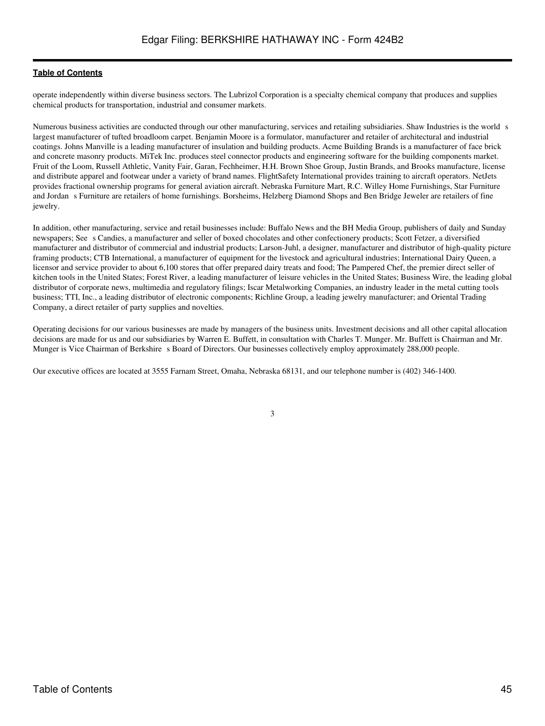operate independently within diverse business sectors. The Lubrizol Corporation is a specialty chemical company that produces and supplies chemical products for transportation, industrial and consumer markets.

Numerous business activities are conducted through our other manufacturing, services and retailing subsidiaries. Shaw Industries is the world s largest manufacturer of tufted broadloom carpet. Benjamin Moore is a formulator, manufacturer and retailer of architectural and industrial coatings. Johns Manville is a leading manufacturer of insulation and building products. Acme Building Brands is a manufacturer of face brick and concrete masonry products. MiTek Inc. produces steel connector products and engineering software for the building components market. Fruit of the Loom, Russell Athletic, Vanity Fair, Garan, Fechheimer, H.H. Brown Shoe Group, Justin Brands, and Brooks manufacture, license and distribute apparel and footwear under a variety of brand names. FlightSafety International provides training to aircraft operators. NetJets provides fractional ownership programs for general aviation aircraft. Nebraska Furniture Mart, R.C. Willey Home Furnishings, Star Furniture and Jordan s Furniture are retailers of home furnishings. Borsheims, Helzberg Diamond Shops and Ben Bridge Jeweler are retailers of fine jewelry.

In addition, other manufacturing, service and retail businesses include: Buffalo News and the BH Media Group, publishers of daily and Sunday newspapers; Sees Candies, a manufacturer and seller of boxed chocolates and other confectionery products; Scott Fetzer, a diversified manufacturer and distributor of commercial and industrial products; Larson-Juhl, a designer, manufacturer and distributor of high-quality picture framing products; CTB International, a manufacturer of equipment for the livestock and agricultural industries; International Dairy Queen, a licensor and service provider to about 6,100 stores that offer prepared dairy treats and food; The Pampered Chef, the premier direct seller of kitchen tools in the United States; Forest River, a leading manufacturer of leisure vehicles in the United States; Business Wire, the leading global distributor of corporate news, multimedia and regulatory filings; Iscar Metalworking Companies, an industry leader in the metal cutting tools business; TTI, Inc., a leading distributor of electronic components; Richline Group, a leading jewelry manufacturer; and Oriental Trading Company, a direct retailer of party supplies and novelties.

Operating decisions for our various businesses are made by managers of the business units. Investment decisions and all other capital allocation decisions are made for us and our subsidiaries by Warren E. Buffett, in consultation with Charles T. Munger. Mr. Buffett is Chairman and Mr. Munger is Vice Chairman of Berkshire s Board of Directors. Our businesses collectively employ approximately 288,000 people.

Our executive offices are located at 3555 Farnam Street, Omaha, Nebraska 68131, and our telephone number is (402) 346-1400.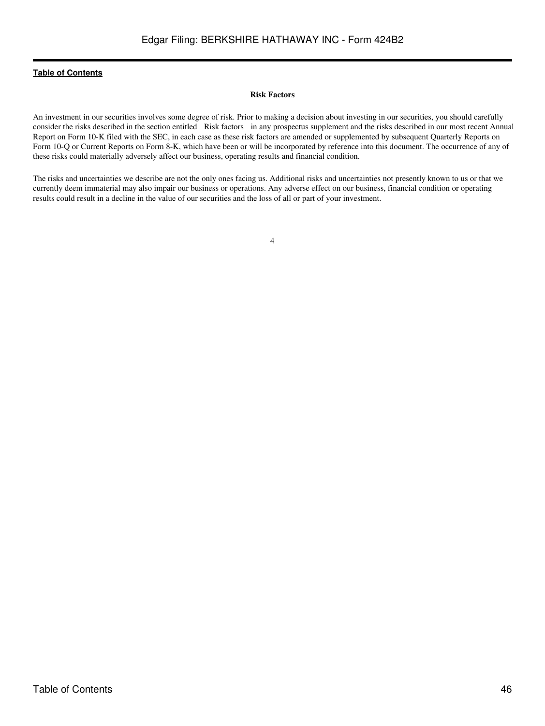## **Risk Factors**

<span id="page-45-0"></span>An investment in our securities involves some degree of risk. Prior to making a decision about investing in our securities, you should carefully consider the risks described in the section entitled Risk factors in any prospectus supplement and the risks described in our most recent Annual Report on Form 10-K filed with the SEC, in each case as these risk factors are amended or supplemented by subsequent Quarterly Reports on Form 10-Q or Current Reports on Form 8-K, which have been or will be incorporated by reference into this document. The occurrence of any of these risks could materially adversely affect our business, operating results and financial condition.

The risks and uncertainties we describe are not the only ones facing us. Additional risks and uncertainties not presently known to us or that we currently deem immaterial may also impair our business or operations. Any adverse effect on our business, financial condition or operating results could result in a decline in the value of our securities and the loss of all or part of your investment.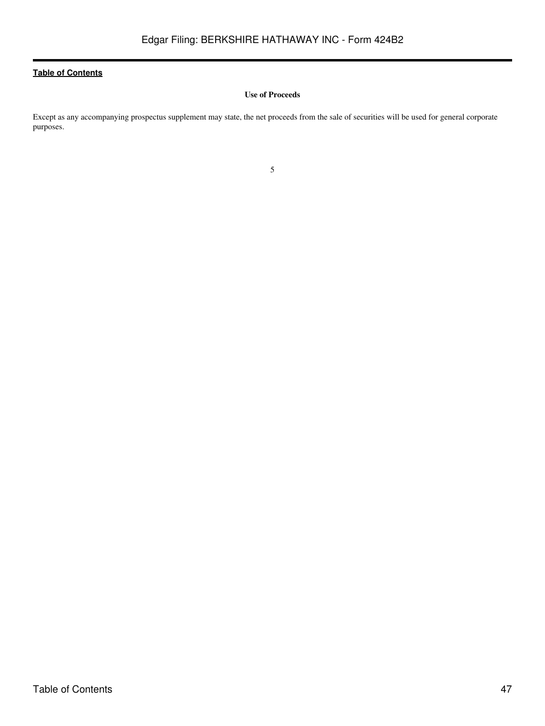# **Use of Proceeds**

<span id="page-46-0"></span>Except as any accompanying prospectus supplement may state, the net proceeds from the sale of securities will be used for general corporate purposes.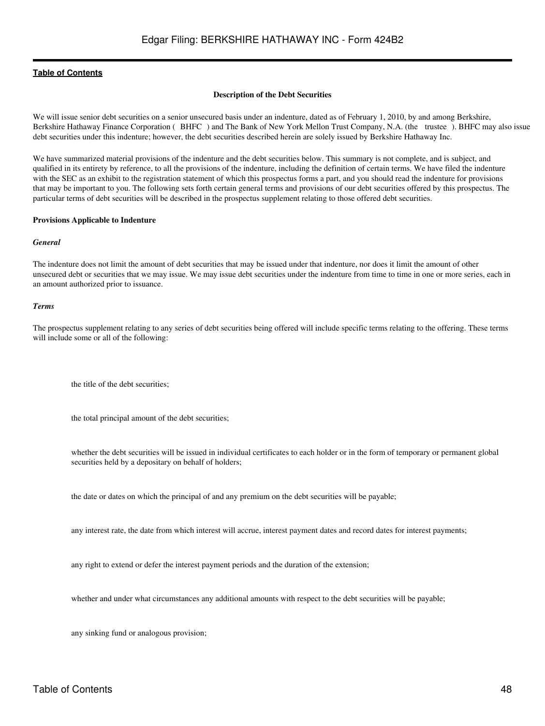#### **Description of the Debt Securities**

<span id="page-47-0"></span>We will issue senior debt securities on a senior unsecured basis under an indenture, dated as of February 1, 2010, by and among Berkshire, Berkshire Hathaway Finance Corporation (BHFC) and The Bank of New York Mellon Trust Company, N.A. (the trustee). BHFC may also issue debt securities under this indenture; however, the debt securities described herein are solely issued by Berkshire Hathaway Inc.

We have summarized material provisions of the indenture and the debt securities below. This summary is not complete, and is subject, and qualified in its entirety by reference, to all the provisions of the indenture, including the definition of certain terms. We have filed the indenture with the SEC as an exhibit to the registration statement of which this prospectus forms a part, and you should read the indenture for provisions that may be important to you. The following sets forth certain general terms and provisions of our debt securities offered by this prospectus. The particular terms of debt securities will be described in the prospectus supplement relating to those offered debt securities.

#### **Provisions Applicable to Indenture**

#### *General*

The indenture does not limit the amount of debt securities that may be issued under that indenture, nor does it limit the amount of other unsecured debt or securities that we may issue. We may issue debt securities under the indenture from time to time in one or more series, each in an amount authorized prior to issuance.

#### *Terms*

The prospectus supplement relating to any series of debt securities being offered will include specific terms relating to the offering. These terms will include some or all of the following:

the title of the debt securities;

the total principal amount of the debt securities;

whether the debt securities will be issued in individual certificates to each holder or in the form of temporary or permanent global securities held by a depositary on behalf of holders;

the date or dates on which the principal of and any premium on the debt securities will be payable;

any interest rate, the date from which interest will accrue, interest payment dates and record dates for interest payments;

any right to extend or defer the interest payment periods and the duration of the extension;

whether and under what circumstances any additional amounts with respect to the debt securities will be payable;

any sinking fund or analogous provision;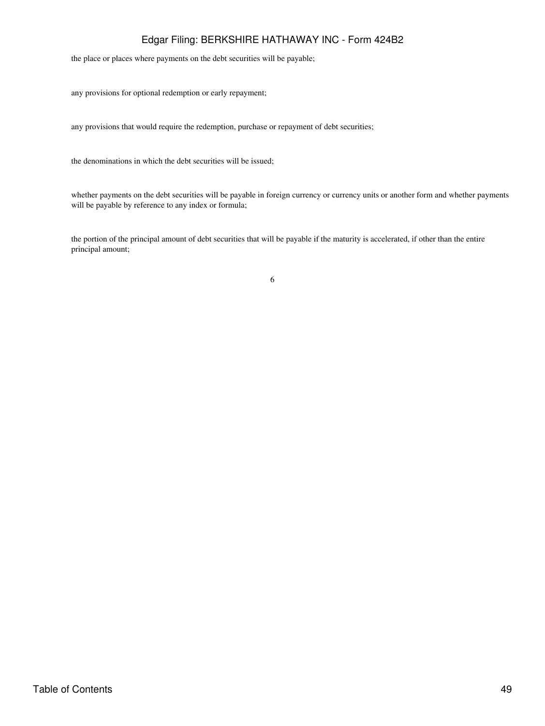# Edgar Filing: BERKSHIRE HATHAWAY INC - Form 424B2

the place or places where payments on the debt securities will be payable;

any provisions for optional redemption or early repayment;

any provisions that would require the redemption, purchase or repayment of debt securities;

the denominations in which the debt securities will be issued;

whether payments on the debt securities will be payable in foreign currency or currency units or another form and whether payments will be payable by reference to any index or formula;

the portion of the principal amount of debt securities that will be payable if the maturity is accelerated, if other than the entire principal amount;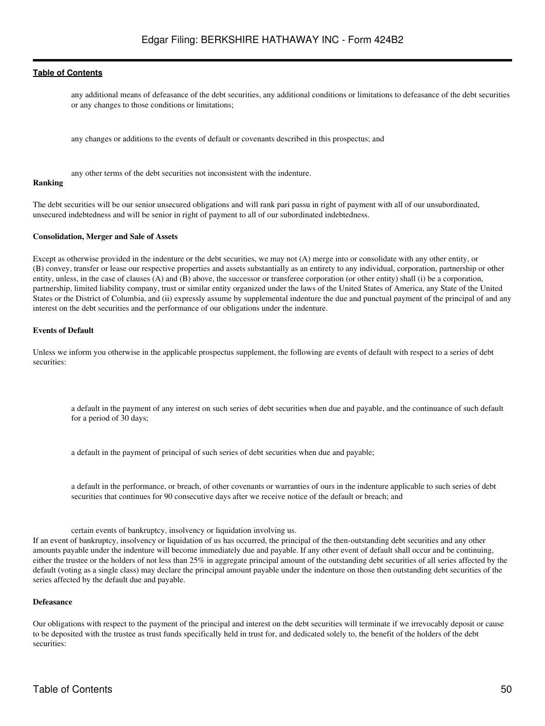any additional means of defeasance of the debt securities, any additional conditions or limitations to defeasance of the debt securities or any changes to those conditions or limitations;

any changes or additions to the events of default or covenants described in this prospectus; and

any other terms of the debt securities not inconsistent with the indenture.

#### **Ranking**

The debt securities will be our senior unsecured obligations and will rank pari passu in right of payment with all of our unsubordinated, unsecured indebtedness and will be senior in right of payment to all of our subordinated indebtedness.

#### **Consolidation, Merger and Sale of Assets**

Except as otherwise provided in the indenture or the debt securities, we may not (A) merge into or consolidate with any other entity, or (B) convey, transfer or lease our respective properties and assets substantially as an entirety to any individual, corporation, partnership or other entity, unless, in the case of clauses (A) and (B) above, the successor or transferee corporation (or other entity) shall (i) be a corporation, partnership, limited liability company, trust or similar entity organized under the laws of the United States of America, any State of the United States or the District of Columbia, and (ii) expressly assume by supplemental indenture the due and punctual payment of the principal of and any interest on the debt securities and the performance of our obligations under the indenture.

#### **Events of Default**

Unless we inform you otherwise in the applicable prospectus supplement, the following are events of default with respect to a series of debt securities:

a default in the payment of any interest on such series of debt securities when due and payable, and the continuance of such default for a period of 30 days;

a default in the payment of principal of such series of debt securities when due and payable;

a default in the performance, or breach, of other covenants or warranties of ours in the indenture applicable to such series of debt securities that continues for 90 consecutive days after we receive notice of the default or breach; and

certain events of bankruptcy, insolvency or liquidation involving us. If an event of bankruptcy, insolvency or liquidation of us has occurred, the principal of the then-outstanding debt securities and any other amounts payable under the indenture will become immediately due and payable. If any other event of default shall occur and be continuing, either the trustee or the holders of not less than 25% in aggregate principal amount of the outstanding debt securities of all series affected by the default (voting as a single class) may declare the principal amount payable under the indenture on those then outstanding debt securities of the series affected by the default due and payable.

#### **Defeasance**

Our obligations with respect to the payment of the principal and interest on the debt securities will terminate if we irrevocably deposit or cause to be deposited with the trustee as trust funds specifically held in trust for, and dedicated solely to, the benefit of the holders of the debt securities: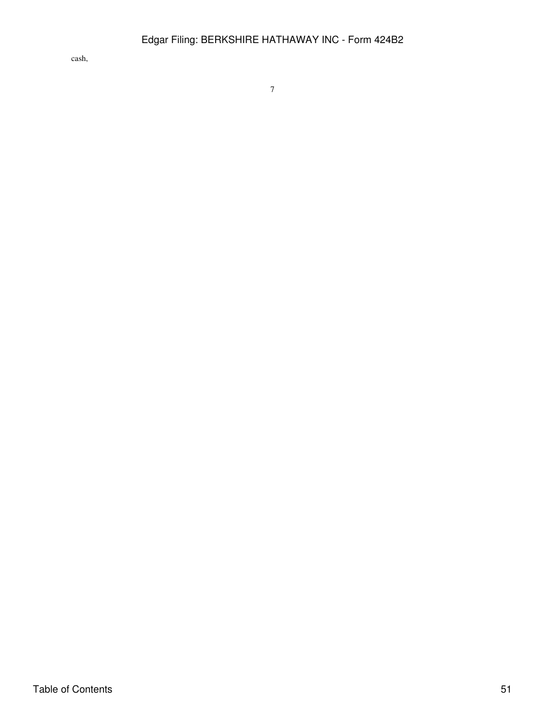cash,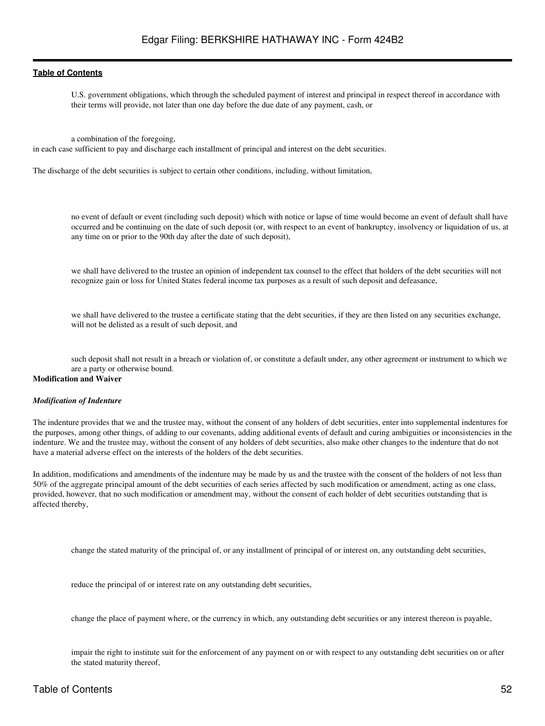U.S. government obligations, which through the scheduled payment of interest and principal in respect thereof in accordance with their terms will provide, not later than one day before the due date of any payment, cash, or

a combination of the foregoing,

in each case sufficient to pay and discharge each installment of principal and interest on the debt securities.

The discharge of the debt securities is subject to certain other conditions, including, without limitation,

no event of default or event (including such deposit) which with notice or lapse of time would become an event of default shall have occurred and be continuing on the date of such deposit (or, with respect to an event of bankruptcy, insolvency or liquidation of us, at any time on or prior to the 90th day after the date of such deposit),

we shall have delivered to the trustee an opinion of independent tax counsel to the effect that holders of the debt securities will not recognize gain or loss for United States federal income tax purposes as a result of such deposit and defeasance,

we shall have delivered to the trustee a certificate stating that the debt securities, if they are then listed on any securities exchange, will not be delisted as a result of such deposit, and

such deposit shall not result in a breach or violation of, or constitute a default under, any other agreement or instrument to which we are a party or otherwise bound.

# **Modification and Waiver**

#### *Modification of Indenture*

The indenture provides that we and the trustee may, without the consent of any holders of debt securities, enter into supplemental indentures for the purposes, among other things, of adding to our covenants, adding additional events of default and curing ambiguities or inconsistencies in the indenture. We and the trustee may, without the consent of any holders of debt securities, also make other changes to the indenture that do not have a material adverse effect on the interests of the holders of the debt securities.

In addition, modifications and amendments of the indenture may be made by us and the trustee with the consent of the holders of not less than 50% of the aggregate principal amount of the debt securities of each series affected by such modification or amendment, acting as one class, provided, however, that no such modification or amendment may, without the consent of each holder of debt securities outstanding that is affected thereby,

change the stated maturity of the principal of, or any installment of principal of or interest on, any outstanding debt securities,

reduce the principal of or interest rate on any outstanding debt securities,

change the place of payment where, or the currency in which, any outstanding debt securities or any interest thereon is payable,

impair the right to institute suit for the enforcement of any payment on or with respect to any outstanding debt securities on or after the stated maturity thereof,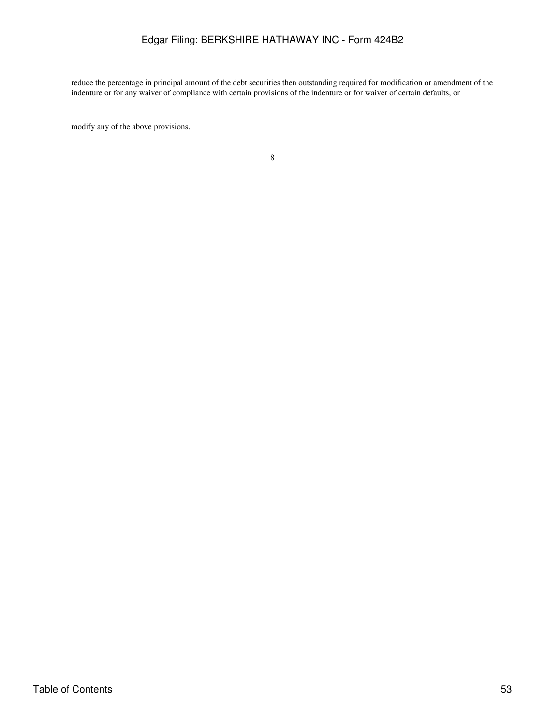# Edgar Filing: BERKSHIRE HATHAWAY INC - Form 424B2

reduce the percentage in principal amount of the debt securities then outstanding required for modification or amendment of the indenture or for any waiver of compliance with certain provisions of the indenture or for waiver of certain defaults, or

modify any of the above provisions.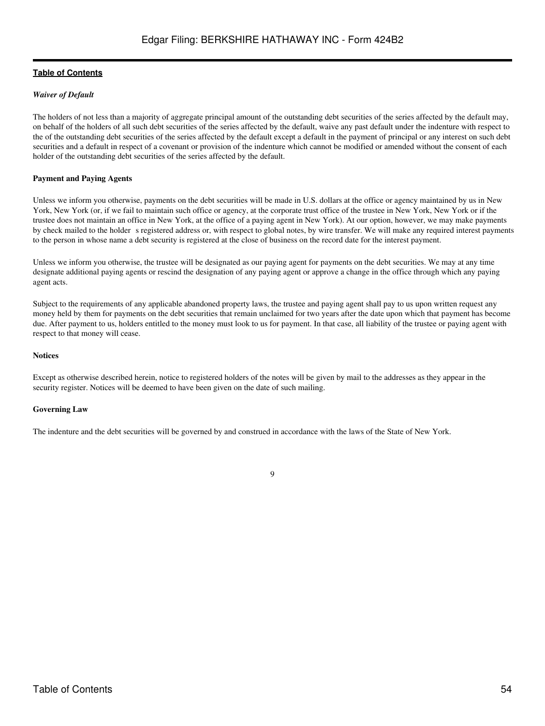# *Waiver of Default*

The holders of not less than a majority of aggregate principal amount of the outstanding debt securities of the series affected by the default may, on behalf of the holders of all such debt securities of the series affected by the default, waive any past default under the indenture with respect to the of the outstanding debt securities of the series affected by the default except a default in the payment of principal or any interest on such debt securities and a default in respect of a covenant or provision of the indenture which cannot be modified or amended without the consent of each holder of the outstanding debt securities of the series affected by the default.

# **Payment and Paying Agents**

Unless we inform you otherwise, payments on the debt securities will be made in U.S. dollars at the office or agency maintained by us in New York, New York (or, if we fail to maintain such office or agency, at the corporate trust office of the trustee in New York, New York or if the trustee does not maintain an office in New York, at the office of a paying agent in New York). At our option, however, we may make payments by check mailed to the holder s registered address or, with respect to global notes, by wire transfer. We will make any required interest payments to the person in whose name a debt security is registered at the close of business on the record date for the interest payment.

Unless we inform you otherwise, the trustee will be designated as our paying agent for payments on the debt securities. We may at any time designate additional paying agents or rescind the designation of any paying agent or approve a change in the office through which any paying agent acts.

Subject to the requirements of any applicable abandoned property laws, the trustee and paying agent shall pay to us upon written request any money held by them for payments on the debt securities that remain unclaimed for two years after the date upon which that payment has become due. After payment to us, holders entitled to the money must look to us for payment. In that case, all liability of the trustee or paying agent with respect to that money will cease.

### **Notices**

Except as otherwise described herein, notice to registered holders of the notes will be given by mail to the addresses as they appear in the security register. Notices will be deemed to have been given on the date of such mailing.

### **Governing Law**

The indenture and the debt securities will be governed by and construed in accordance with the laws of the State of New York.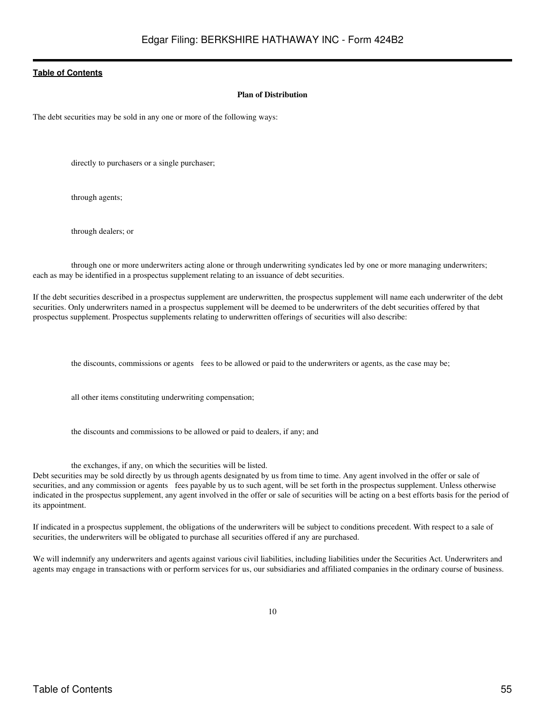#### **Plan of Distribution**

<span id="page-54-0"></span>The debt securities may be sold in any one or more of the following ways:

directly to purchasers or a single purchaser;

through agents;

through dealers; or

through one or more underwriters acting alone or through underwriting syndicates led by one or more managing underwriters; each as may be identified in a prospectus supplement relating to an issuance of debt securities.

If the debt securities described in a prospectus supplement are underwritten, the prospectus supplement will name each underwriter of the debt securities. Only underwriters named in a prospectus supplement will be deemed to be underwriters of the debt securities offered by that prospectus supplement. Prospectus supplements relating to underwritten offerings of securities will also describe:

the discounts, commissions or agents fees to be allowed or paid to the underwriters or agents, as the case may be;

all other items constituting underwriting compensation;

the discounts and commissions to be allowed or paid to dealers, if any; and

the exchanges, if any, on which the securities will be listed.

Debt securities may be sold directly by us through agents designated by us from time to time. Any agent involved in the offer or sale of securities, and any commission or agents fees payable by us to such agent, will be set forth in the prospectus supplement. Unless otherwise indicated in the prospectus supplement, any agent involved in the offer or sale of securities will be acting on a best efforts basis for the period of its appointment.

If indicated in a prospectus supplement, the obligations of the underwriters will be subject to conditions precedent. With respect to a sale of securities, the underwriters will be obligated to purchase all securities offered if any are purchased.

We will indemnify any underwriters and agents against various civil liabilities, including liabilities under the Securities Act. Underwriters and agents may engage in transactions with or perform services for us, our subsidiaries and affiliated companies in the ordinary course of business.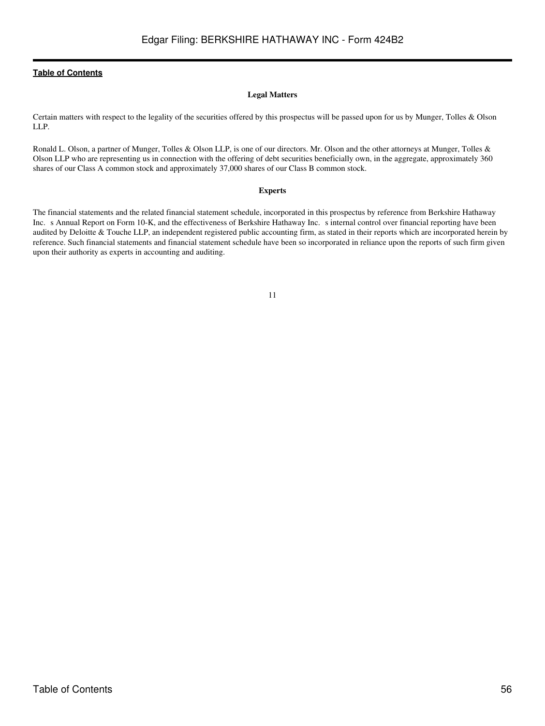## **Legal Matters**

<span id="page-55-0"></span>Certain matters with respect to the legality of the securities offered by this prospectus will be passed upon for us by Munger, Tolles & Olson LLP.

Ronald L. Olson, a partner of Munger, Tolles & Olson LLP, is one of our directors. Mr. Olson and the other attorneys at Munger, Tolles & Olson LLP who are representing us in connection with the offering of debt securities beneficially own, in the aggregate, approximately 360 shares of our Class A common stock and approximately 37,000 shares of our Class B common stock.

### **Experts**

<span id="page-55-1"></span>The financial statements and the related financial statement schedule, incorporated in this prospectus by reference from Berkshire Hathaway Inc. s Annual Report on Form 10-K, and the effectiveness of Berkshire Hathaway Inc. s internal control over financial reporting have been audited by Deloitte & Touche LLP, an independent registered public accounting firm, as stated in their reports which are incorporated herein by reference. Such financial statements and financial statement schedule have been so incorporated in reliance upon the reports of such firm given upon their authority as experts in accounting and auditing.